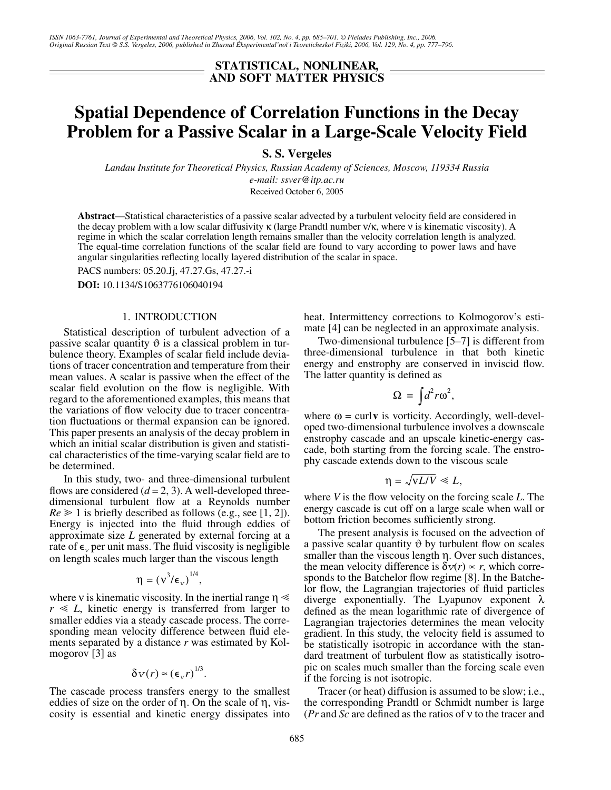# **STATISTICAL, NONLINEAR, AND SOFT MATTER PHYSICS**

# **Spatial Dependence of Correlation Functions in the Decay Problem for a Passive Scalar in a Large-Scale Velocity Field**

**S. S. Vergeles**

*Landau Institute for Theoretical Physics, Russian Academy of Sciences, Moscow, 119334 Russia e-mail: ssver@itp.ac.ru* Received October 6, 2005

**Abstract**—Statistical characteristics of a passive scalar advected by a turbulent velocity field are considered in the decay problem with a low scalar diffusivity κ (large Prandtl number ν/κ, where ν is kinematic viscosity). A regime in which the scalar correlation length remains smaller than the velocity correlation length is analyzed. The equal-time correlation functions of the scalar field are found to vary according to power laws and have angular singularities reflecting locally layered distribution of the scalar in space.

PACS numbers: 05.20.Jj, 47.27.Gs, 47.27.-i

**DOI:** 10.1134/S1063776106040194

#### 1. INTRODUCTION

Statistical description of turbulent advection of a passive scalar quantity  $\vartheta$  is a classical problem in turbulence theory. Examples of scalar field include deviations of tracer concentration and temperature from their mean values. A scalar is passive when the effect of the scalar field evolution on the flow is negligible. With regard to the aforementioned examples, this means that the variations of flow velocity due to tracer concentration fluctuations or thermal expansion can be ignored. This paper presents an analysis of the decay problem in which an initial scalar distribution is given and statistical characteristics of the time-varying scalar field are to be determined.

In this study, two- and three-dimensional turbulent flows are considered  $(d = 2, 3)$ . A well-developed threedimensional turbulent flow at a Reynolds number  $Re \geq 1$  is briefly described as follows (e.g., see [1, 2]). Energy is injected into the fluid through eddies of approximate size *L* generated by external forcing at a rate of  $\epsilon$ <sub>v</sub> per unit mass. The fluid viscosity is negligible on length scales much larger than the viscous length

$$
\eta = (v^3/\varepsilon_{\rm \scriptscriptstyle V})^{1/4},
$$

where v is kinematic viscosity. In the inertial range  $\eta \ll$  $r \ll L$ , kinetic energy is transferred from larger to smaller eddies via a steady cascade process. The corresponding mean velocity difference between fluid elements separated by a distance *r* was estimated by Kolmogorov [3] as

$$
\delta v(r) \approx (\epsilon_v r)^{1/3}.
$$

The cascade process transfers energy to the smallest eddies of size on the order of η. On the scale of η, viscosity is essential and kinetic energy dissipates into

heat. Intermittency corrections to Kolmogorov's estimate [4] can be neglected in an approximate analysis.

Two-dimensional turbulence [5–7] is different from three-dimensional turbulence in that both kinetic energy and enstrophy are conserved in inviscid flow. The latter quantity is defined as

$$
\Omega = \int d^2 r \omega^2,
$$

where  $\omega$  = curl **v** is vorticity. Accordingly, well-developed two-dimensional turbulence involves a downscale enstrophy cascade and an upscale kinetic-energy cascade, both starting from the forcing scale. The enstrophy cascade extends down to the viscous scale

$$
\eta = \sqrt{\nu L/V} \ll L,
$$

where *V* is the flow velocity on the forcing scale *L*. The energy cascade is cut off on a large scale when wall or bottom friction becomes sufficiently strong.

The present analysis is focused on the advection of a passive scalar quantity  $\vartheta$  by turbulent flow on scales smaller than the viscous length η. Over such distances, the mean velocity difference is  $\delta v(r) \propto r$ , which corresponds to the Batchelor flow regime [8]. In the Batchelor flow, the Lagrangian trajectories of fluid particles diverge exponentially. The Lyapunov exponent λ defined as the mean logarithmic rate of divergence of Lagrangian trajectories determines the mean velocity gradient. In this study, the velocity field is assumed to be statistically isotropic in accordance with the standard treatment of turbulent flow as statistically isotropic on scales much smaller than the forcing scale even if the forcing is not isotropic.

Tracer (or heat) diffusion is assumed to be slow; i.e., the corresponding Prandtl or Schmidt number is large (*Pr* and *Sc* are defined as the ratios of ν to the tracer and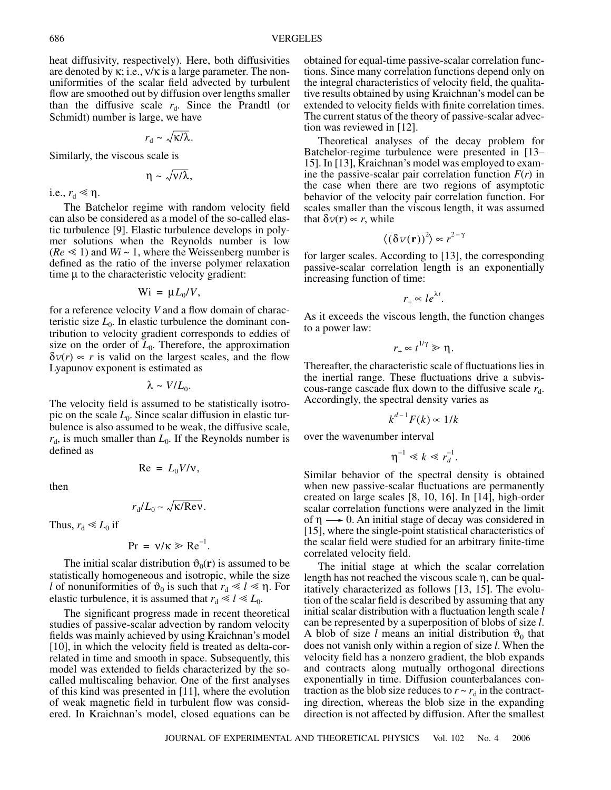heat diffusivity, respectively). Here, both diffusivities are denoted by  $\kappa$ ; i.e.,  $v/\kappa$  is a large parameter. The nonuniformities of the scalar field advected by turbulent flow are smoothed out by diffusion over lengths smaller than the diffusive scale  $r_d$ . Since the Prandtl (or Schmidt) number is large, we have

$$
r_{\rm d} \sim \sqrt{\kappa/\lambda}.
$$

Similarly, the viscous scale is

$$
\eta \sim \sqrt{v/\lambda},
$$

i.e.,  $r_d \ll \eta$ .

The Batchelor regime with random velocity field can also be considered as a model of the so-called elastic turbulence [9]. Elastic turbulence develops in polymer solutions when the Reynolds number is low  $(Re \leq 1)$  and  $Wi \sim 1$ , where the Weissenberg number is defined as the ratio of the inverse polymer relaxation time µ to the characteristic velocity gradient:

$$
Wi = \mu L_0/V,
$$

for a reference velocity *V* and a flow domain of characteristic size  $L_0$ . In elastic turbulence the dominant contribution to velocity gradient corresponds to eddies of size on the order of  $L_0$ . Therefore, the approximation  $\delta v(r) \propto r$  is valid on the largest scales, and the flow Lyapunov exponent is estimated as

 $λ \sim V/L_0$ .

The velocity field is assumed to be statistically isotropic on the scale  $L_0$ . Since scalar diffusion in elastic turbulence is also assumed to be weak, the diffusive scale,  $r_{d}$ , is much smaller than  $L_0$ . If the Reynolds number is defined as

then

$$
r_{\rm d}/L_0 \sim \sqrt{\kappa/\text{ReV}}
$$

 $Re = L_0 V/v$ ,

Thus,  $r_d \ll L_0$  if

$$
Pr = v/\kappa \ge Re^{-1}.
$$

The initial scalar distribution  $\vartheta_0(\mathbf{r})$  is assumed to be statistically homogeneous and isotropic, while the size *l* of nonuniformities of  $\vartheta_0$  is such that  $r_d \ll l \ll \eta$ . For elastic turbulence, it is assumed that  $r_d \ll l \ll L_0$ .

The significant progress made in recent theoretical studies of passive-scalar advection by random velocity fields was mainly achieved by using Kraichnan's model [10], in which the velocity field is treated as delta-correlated in time and smooth in space. Subsequently, this model was extended to fields characterized by the socalled multiscaling behavior. One of the first analyses of this kind was presented in [11], where the evolution of weak magnetic field in turbulent flow was considered. In Kraichnan's model, closed equations can be obtained for equal-time passive-scalar correlation functions. Since many correlation functions depend only on the integral characteristics of velocity field, the qualitative results obtained by using Kraichnan's model can be extended to velocity fields with finite correlation times. The current status of the theory of passive-scalar advection was reviewed in [12].

Theoretical analyses of the decay problem for Batchelor-regime turbulence were presented in [13– 15]. In [13], Kraichnan's model was employed to examine the passive-scalar pair correlation function  $F(r)$  in the case when there are two regions of asymptotic behavior of the velocity pair correlation function. For scales smaller than the viscous length, it was assumed that  $\delta v(\mathbf{r}) \propto r$ , while

$$
\langle \left(\delta v(\mathbf{r})\right)^2 \rangle \propto r^{2-\gamma}
$$

for larger scales. According to [13], the corresponding passive-scalar correlation length is an exponentially increasing function of time:

$$
r_+ \propto l e^{\lambda t}.
$$

As it exceeds the viscous length, the function changes to a power law:

$$
r_{+} \propto t^{1/\gamma} \gg \eta.
$$

Thereafter, the characteristic scale of fluctuations lies in the inertial range. These fluctuations drive a subviscous-range cascade flux down to the diffusive scale  $r_d$ . Accordingly, the spectral density varies as

$$
k^{d-1}F(k) \propto 1/k
$$

over the wavenumber interval

$$
\eta^{-1} \ll k \ll r_d^{-1}.
$$

Similar behavior of the spectral density is obtained when new passive-scalar fluctuations are permanently created on large scales [8, 10, 16]. In [14], high-order scalar correlation functions were analyzed in the limit of  $\eta \longrightarrow 0$ . An initial stage of decay was considered in [15], where the single-point statistical characteristics of the scalar field were studied for an arbitrary finite-time correlated velocity field.

The initial stage at which the scalar correlation length has not reached the viscous scale η, can be qualitatively characterized as follows [13, 15]. The evolution of the scalar field is described by assuming that any initial scalar distribution with a fluctuation length scale *l* can be represented by a superposition of blobs of size *l*. A blob of size *l* means an initial distribution  $\vartheta_0$  that does not vanish only within a region of size *l*. When the velocity field has a nonzero gradient, the blob expands and contracts along mutually orthogonal directions exponentially in time. Diffusion counterbalances contraction as the blob size reduces to  $r \sim r_d$  in the contracting direction, whereas the blob size in the expanding direction is not affected by diffusion. After the smallest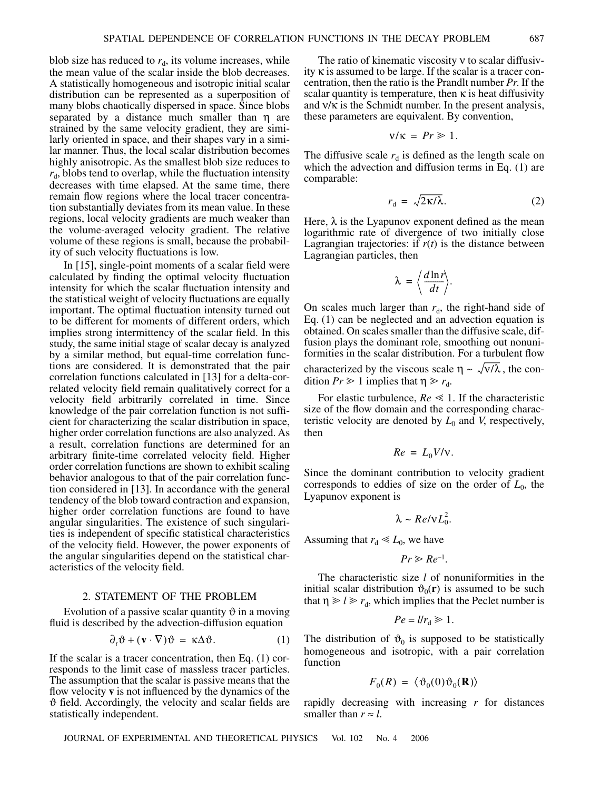blob size has reduced to  $r_d$ , its volume increases, while the mean value of the scalar inside the blob decreases. A statistically homogeneous and isotropic initial scalar distribution can be represented as a superposition of many blobs chaotically dispersed in space. Since blobs separated by a distance much smaller than η are strained by the same velocity gradient, they are similarly oriented in space, and their shapes vary in a similar manner. Thus, the local scalar distribution becomes highly anisotropic. As the smallest blob size reduces to  $r_{d}$ , blobs tend to overlap, while the fluctuation intensity decreases with time elapsed. At the same time, there remain flow regions where the local tracer concentration substantially deviates from its mean value. In these regions, local velocity gradients are much weaker than the volume-averaged velocity gradient. The relative volume of these regions is small, because the probability of such velocity fluctuations is low.

In [15], single-point moments of a scalar field were calculated by finding the optimal velocity fluctuation intensity for which the scalar fluctuation intensity and the statistical weight of velocity fluctuations are equally important. The optimal fluctuation intensity turned out to be different for moments of different orders, which implies strong intermittency of the scalar field. In this study, the same initial stage of scalar decay is analyzed by a similar method, but equal-time correlation functions are considered. It is demonstrated that the pair correlation functions calculated in [13] for a delta-correlated velocity field remain qualitatively correct for a velocity field arbitrarily correlated in time. Since knowledge of the pair correlation function is not sufficient for characterizing the scalar distribution in space, higher order correlation functions are also analyzed. As a result, correlation functions are determined for an arbitrary finite-time correlated velocity field. Higher order correlation functions are shown to exhibit scaling behavior analogous to that of the pair correlation function considered in [13]. In accordance with the general tendency of the blob toward contraction and expansion, higher order correlation functions are found to have angular singularities. The existence of such singularities is independent of specific statistical characteristics of the velocity field. However, the power exponents of the angular singularities depend on the statistical characteristics of the velocity field.

#### 2. STATEMENT OF THE PROBLEM

Evolution of a passive scalar quantity  $\vartheta$  in a moving fluid is described by the advection-diffusion equation

$$
\partial_t \vartheta + (\mathbf{v} \cdot \nabla) \vartheta = \kappa \Delta \vartheta. \tag{1}
$$

If the scalar is a tracer concentration, then Eq. (1) corresponds to the limit case of massless tracer particles. The assumption that the scalar is passive means that the flow velocity **v** is not influenced by the dynamics of the ϑ field. Accordingly, the velocity and scalar fields are statistically independent.

The ratio of kinematic viscosity ν to scalar diffusivity κ is assumed to be large. If the scalar is a tracer concentration, then the ratio is the Prandlt number *Pr*. If the scalar quantity is temperature, then  $\kappa$  is heat diffusivity and  $v/\kappa$  is the Schmidt number. In the present analysis, these parameters are equivalent. By convention,

$$
v/\kappa = Pr \geq 1.
$$

The diffusive scale  $r_d$  is defined as the length scale on which the advection and diffusion terms in Eq. (1) are comparable:

$$
r_{\rm d} = \sqrt{2\kappa/\lambda}.\tag{2}
$$

Here,  $\lambda$  is the Lyapunov exponent defined as the mean logarithmic rate of divergence of two initially close Lagrangian trajectories: if  $r(t)$  is the distance between Lagrangian particles, then

$$
\lambda = \left\langle \frac{d \ln r}{dt} \right\rangle.
$$

On scales much larger than  $r_d$ , the right-hand side of Eq. (1) can be neglected and an advection equation is obtained. On scales smaller than the diffusive scale, diffusion plays the dominant role, smoothing out nonuniformities in the scalar distribution. For a turbulent flow characterized by the viscous scale  $\eta \sim \sqrt{\nu/\lambda}$ , the condition  $Pr \ge 1$  implies that  $\eta \ge r_d$ .

For elastic turbulence,  $Re \leq 1$ . If the characteristic size of the flow domain and the corresponding characteristic velocity are denoted by  $L_0$  and *V*, respectively, then

$$
Re = L_0 V / v.
$$

Since the dominant contribution to velocity gradient corresponds to eddies of size on the order of  $L_0$ , the Lyapunov exponent is

$$
\lambda \sim Re/vL_0^2.
$$

Assuming that  $r_d \ll L_0$ , we have

$$
Pr \geqslant Re^{-1}.
$$

The characteristic size *l* of nonuniformities in the initial scalar distribution  $\vartheta_0(\mathbf{r})$  is assumed to be such that  $\eta \ge l \ge r_d$ , which implies that the Peclet number is

$$
Pe = l/r_{\rm d} \geq 1.
$$

The distribution of  $\vartheta_0$  is supposed to be statistically homogeneous and isotropic, with a pair correlation function

$$
F_0(R) = \langle \vartheta_0(0) \vartheta_0(R) \rangle
$$

rapidly decreasing with increasing *r* for distances smaller than  $r \approx l$ .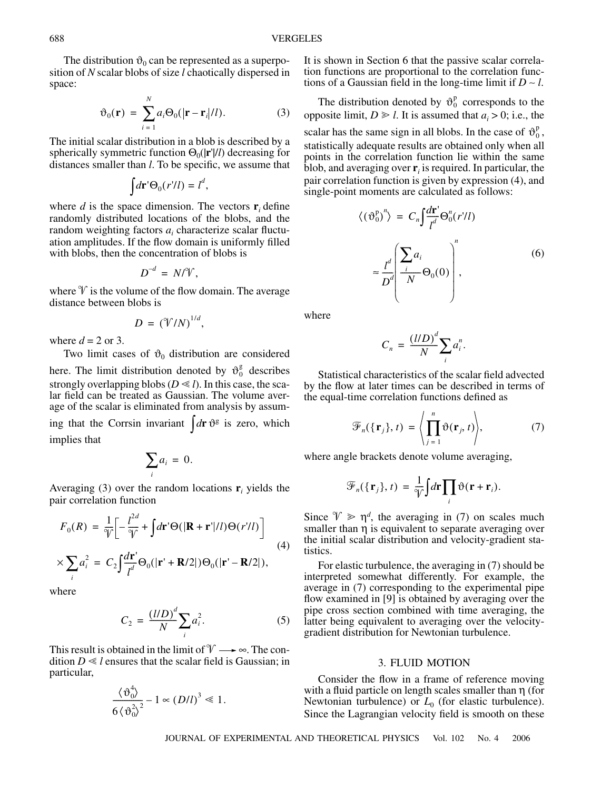The distribution  $\vartheta_0$  can be represented as a superposition of *N* scalar blobs of size *l* chaotically dispersed in space:

$$
\vartheta_0(\mathbf{r}) = \sum_{i=1}^N a_i \Theta_0(|\mathbf{r} - \mathbf{r}_i|/l). \tag{3}
$$

The initial scalar distribution in a blob is described by a spherically symmetric function Θ<sub>0</sub>( $|\mathbf{r}'|$ *l*) decreasing for distances smaller than *l*. To be specific, we assume that

$$
\int d\mathbf{r}' \Theta_0(r'l') = l^d,
$$

where *d* is the space dimension. The vectors  $\mathbf{r}_i$  define randomly distributed locations of the blobs, and the random weighting factors  $a_i$  characterize scalar fluctuation amplitudes. If the flow domain is uniformly filled with blobs, then the concentration of blobs is

$$
D^{-d} = N/\mathcal{V},
$$

where  $\mathcal V$  is the volume of the flow domain. The average distance between blobs is

$$
D = (\mathcal{V}/N)^{1/d},
$$

where  $d = 2$  or 3.

Two limit cases of  $\vartheta_0$  distribution are considered here. The limit distribution denoted by  $\vartheta_0^g$  describes strongly overlapping blobs ( $D \ll l$ ). In this case, the scalar field can be treated as Gaussian. The volume aver-

age of the scalar is eliminated from analysis by assuming that the Corrsin invariant  $\int d\mathbf{r} \, \vartheta^g$  is zero, which implies that

$$
\sum_i a_i = 0.
$$

Averaging (3) over the random locations  $\mathbf{r}_i$  yields the pair correlation function

$$
F_0(R) = \frac{1}{\mathcal{V}} \left[ -\frac{l^{2d}}{\mathcal{V}} + \int d\mathbf{r}' \Theta(|\mathbf{R} + \mathbf{r}'|/l) \Theta(r'/l) \right]
$$
(4)

$$
\times \sum_i a_i^2 = C_2 \int \frac{d\mathbf{r}'}{l^d} \Theta_0(|\mathbf{r}' + \mathbf{R}/2|) \Theta_0(|\mathbf{r}' - \mathbf{R}/2|),
$$

where

$$
C_2 = \frac{(1/D)^d}{N} \sum_i a_i^2.
$$
 (5)

This result is obtained in the limit of  $\mathcal{V} \longrightarrow \infty$ . The condition  $D \ll l$  ensures that the scalar field is Gaussian; in particular,

$$
\frac{\langle \vartheta_0^4 \rangle}{6 \langle \vartheta_0^2 \rangle^2} - 1 \propto (D/l)^3 \ll 1.
$$

It is shown in Section 6 that the passive scalar correlation functions are proportional to the correlation functions of a Gaussian field in the long-time limit if *D* ∼ *l*.

The distribution denoted by  $\vartheta_0^p$  corresponds to the opposite limit,  $D \ge l$ . It is assumed that  $a_i > 0$ ; i.e., the scalar has the same sign in all blobs. In the case of  $\vartheta_0^p$ , statistically adequate results are obtained only when all points in the correlation function lie within the same blob, and averaging over  $\mathbf{r}_i$  is required. In particular, the pair correlation function is given by expression (4), and single-point moments are calculated as follows: *d***r**'

$$
\langle (\vartheta_0^p)'' \rangle = C_n \int \frac{d\mathbf{r}}{l^d} \Theta_0^n(r'l') \tag{6}
$$

$$
\approx \frac{l^d}{D^d} \left( \frac{\sum_i a_i}{N} \Theta_0(0) \right)^n,
$$

where

$$
C_n = \frac{(l/D)^d}{N} \sum_i a_i^n.
$$

Statistical characteristics of the scalar field advected by the flow at later times can be described in terms of the equal-time correlation functions defined as

$$
\mathcal{F}_n(\{\mathbf{r}_j\},t) = \left\langle \prod_{j=1}^n \vartheta(\mathbf{r}_j,t) \right\rangle, \tag{7}
$$

where angle brackets denote volume averaging,

$$
\mathscr{F}_n(\{\mathbf{r}_j\},t) = \frac{1}{\mathscr{V}}\int d\mathbf{r} \prod_i \vartheta(\mathbf{r}+\mathbf{r}_i).
$$

Since  $\mathcal{V} \geq \eta^d$ , the averaging in (7) on scales much smaller than η is equivalent to separate averaging over the initial scalar distribution and velocity-gradient statistics.

For elastic turbulence, the averaging in (7) should be interpreted somewhat differently. For example, the average in (7) corresponding to the experimental pipe flow examined in [9] is obtained by averaging over the pipe cross section combined with time averaging, the latter being equivalent to averaging over the velocitygradient distribution for Newtonian turbulence.

## 3. FLUID MOTION

Consider the flow in a frame of reference moving with a fluid particle on length scales smaller than  $\eta$  (for Newtonian turbulence) or  $L_0$  (for elastic turbulence). Since the Lagrangian velocity field is smooth on these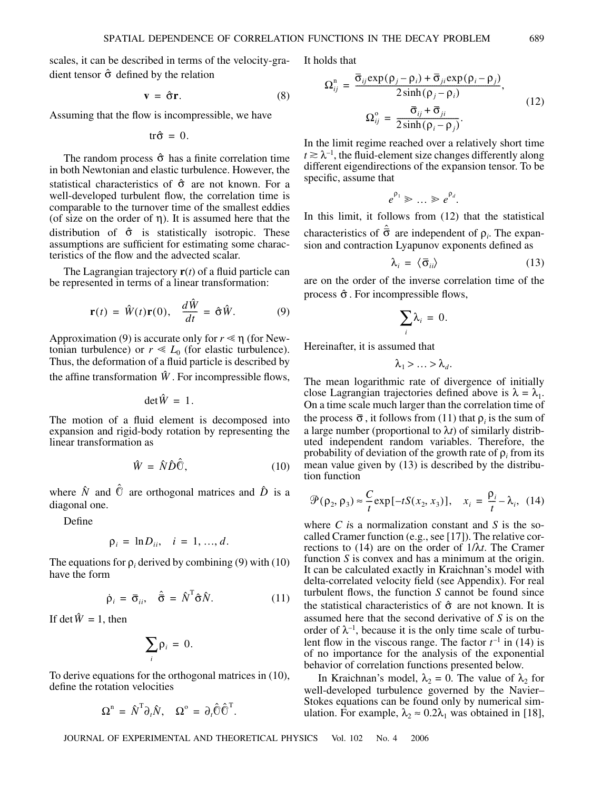scales, it can be described in terms of the velocity-gradient tensor  $\hat{\sigma}$  defined by the relation

$$
\mathbf{v} = \hat{\sigma} \mathbf{r}.\tag{8}
$$

Assuming that the flow is incompressible, we have

$$
tr\hat{\sigma}=0.
$$

The random process  $\hat{\sigma}$  has a finite correlation time in both Newtonian and elastic turbulence. However, the statistical characteristics of  $\hat{\sigma}$  are not known. For a well-developed turbulent flow, the correlation time is comparable to the turnover time of the smallest eddies (of size on the order of  $\eta$ ). It is assumed here that the distribution of  $\hat{\sigma}$  is statistically isotropic. These assumptions are sufficient for estimating some characteristics of the flow and the advected scalar.

The Lagrangian trajectory  $\mathbf{r}(t)$  of a fluid particle can be represented in terms of a linear transformation:

$$
\mathbf{r}(t) = \hat{W}(t)\mathbf{r}(0), \quad \frac{d\hat{W}}{dt} = \hat{\sigma}\hat{W}.
$$
 (9)

Approximation (9) is accurate only for  $r \leq \eta$  (for Newtonian turbulence) or  $r \ll L_0$  (for elastic turbulence). Thus, the deformation of a fluid particle is described by

the affine transformation  $\hat{W}$ . For incompressible flows,

$$
\det \hat{W} = 1.
$$

The motion of a fluid element is decomposed into expansion and rigid-body rotation by representing the linear transformation as

$$
\hat{W} = \hat{N}\hat{D}\hat{\mathbb{O}},\tag{10}
$$

where  $\hat{N}$  and  $\hat{O}$  are orthogonal matrices and  $\hat{D}$  is a diagonal one.

Define

$$
\rho_i = \ln D_{ii}, \quad i = 1, ..., d.
$$

The equations for  $\rho_i$  derived by combining (9) with (10) have the form

$$
\dot{\rho}_i = \bar{\sigma}_{ii}, \quad \hat{\bar{\sigma}} = \hat{N}^{\mathrm{T}} \hat{\sigma} \hat{N}.
$$
 (11)

If det  $\hat{W} = 1$ , then

$$
\sum_i \rho_i = 0.
$$

To derive equations for the orthogonal matrices in (10), define the rotation velocities

$$
\Omega^{\mathbf{n}} = \hat{N}^{\mathbf{T}} \partial_t \hat{N}, \quad \Omega^{\mathbf{o}} = \partial_t \hat{\mathbf{C}} \hat{\mathbf{C}}^{\mathbf{T}}.
$$

It holds that

$$
\Omega_{ij}^{\mathbf{n}} = \frac{\overline{\sigma}_{ij} \exp(\rho_j - \rho_i) + \overline{\sigma}_{ji} \exp(\rho_i - \rho_j)}{2 \sinh(\rho_j - \rho_i)},
$$
\n
$$
\Omega_{ij}^{\mathbf{o}} = \frac{\overline{\sigma}_{ij} + \overline{\sigma}_{ji}}{2 \sinh(\rho_i - \rho_j)}.
$$
\n(12)

In the limit regime reached over a relatively short time  $t \ge \lambda^{-1}$ , the fluid-element size changes differently along different eigendirections of the expansion tensor. To be specific, assume that

$$
e^{\rho_1} \gg \ldots \gg e^{\rho_d}.
$$

In this limit, it follows from (12) that the statistical characteristics of  $\hat{\bar{\sigma}}$  are independent of  $\rho_i$ . The expansion and contraction Lyapunov exponents defined as

$$
\lambda_i = \langle \bar{\sigma}_{ii} \rangle \tag{13}
$$

are on the order of the inverse correlation time of the process  $\hat{\sigma}$ . For incompressible flows,

$$
\sum_i \lambda_i = 0.
$$

Hereinafter, it is assumed that

$$
\lambda_1 > \ldots > \lambda_d.
$$

The mean logarithmic rate of divergence of initially close Lagrangian trajectories defined above is  $\lambda = \lambda_1$ . On a time scale much larger than the correlation time of the process  $\bar{\sigma}$ , it follows from (11) that  $\rho_i$  is the sum of a large number (proportional to  $\lambda t$ ) of similarly distributed independent random variables. Therefore, the probability of deviation of the growth rate of ρ*<sup>i</sup>* from its mean value given by (13) is described by the distribution function

$$
\mathcal{P}(\rho_2, \rho_3) \approx \frac{C}{t} \exp[-tS(x_2, x_3)], \quad x_i = \frac{\rho_i}{t} - \lambda_i, \tag{14}
$$

where *C i*s a normalization constant and *S* is the socalled Cramer function (e.g., see [17]). The relative corrections to (14) are on the order of 1/λ*t*. The Cramer function *S* is convex and has a minimum at the origin. It can be calculated exactly in Kraichnan's model with delta-correlated velocity field (see Appendix). For real turbulent flows, the function  $S$  cannot be found since the statistical characteristics of  $\hat{\sigma}$  are not known. It is assumed here that the second derivative of *S* is on the order of  $\lambda^{-1}$ , because it is the only time scale of turbulent flow in the viscous range. The factor  $t^{-1}$  in (14) is of no importance for the analysis of the exponential behavior of correlation functions presented below.

In Kraichnan's model,  $\lambda_2 = 0$ . The value of  $\lambda_2$  for well-developed turbulence governed by the Navier– Stokes equations can be found only by numerical simulation. For example,  $\lambda_2 \approx 0.2\lambda_1$  was obtained in [18],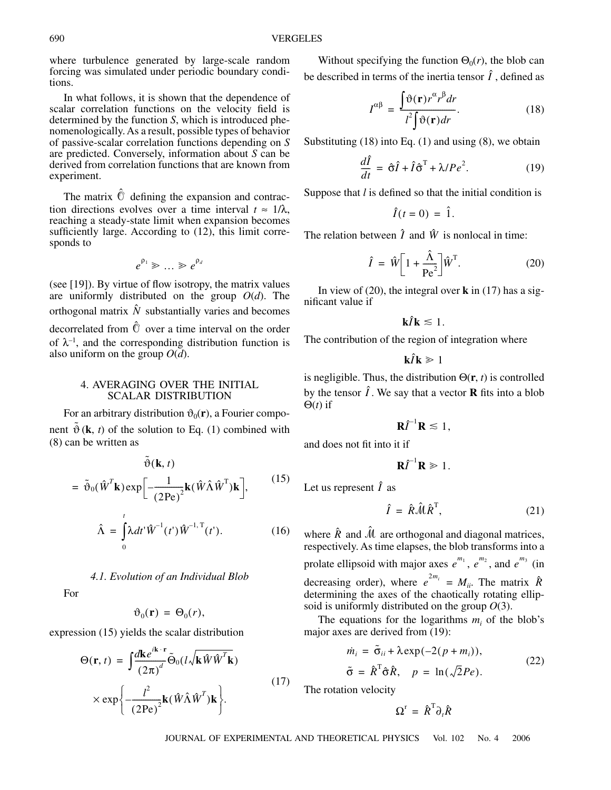where turbulence generated by large-scale random forcing was simulated under periodic boundary conditions.

In what follows, it is shown that the dependence of scalar correlation functions on the velocity field is determined by the function *S*, which is introduced phenomenologically. As a result, possible types of behavior of passive-scalar correlation functions depending on *S* are predicted. Conversely, information about *S* can be derived from correlation functions that are known from experiment.

The matrix  $\hat{O}$  defining the expansion and contraction directions evolves over a time interval  $t \approx 1/\lambda$ , reaching a steady-state limit when expansion becomes sufficiently large. According to (12), this limit corresponds to

$$
e^{\rho_1} \gg \dots \gg e^{\rho_d}
$$

(see [19]). By virtue of flow isotropy, the matrix values are uniformly distributed on the group *O*(*d*). The orthogonal matrix  $\hat{N}$  substantially varies and becomes decorrelated from  $\hat{O}$  over a time interval on the order of  $\lambda^{-1}$ , and the corresponding distribution function is also uniform on the group  $O(d)$ .

## 4. AVERAGING OVER THE INITIAL SCALAR DISTRIBUTION

For an arbitrary distribution  $\vartheta_0(\mathbf{r})$ , a Fourier component  $\tilde{\vartheta}$  (**k**, *t*) of the solution to Eq. (1) combined with (8) can be written as

$$
\tilde{\vartheta}(\mathbf{k}, t)
$$
\n
$$
= \tilde{\vartheta}_{0}(\hat{\mathbf{W}}^{T}\mathbf{k}) \exp\left[-\frac{1}{(2\text{Pe})^{2}}\mathbf{k}(\hat{\mathbf{W}}\hat{\mathbf{\Lambda}}\hat{\mathbf{W}}^{T})\mathbf{k}\right],
$$
\n
$$
\hat{\mathbf{\Lambda}} = \int_{0}^{t} \lambda dt' \hat{\mathbf{W}}^{-1}(t') \hat{\mathbf{W}}^{-1,T}(t').
$$
\n(16)

# *4.1. Evolution of an Individual Blob*

For

$$
\vartheta_0(\mathbf{r}) = \Theta_0(r),
$$

expression (15) yields the scalar distribution

0

$$
\Theta(\mathbf{r}, t) = \int \frac{d\mathbf{k}e^{i\mathbf{k} \cdot \mathbf{r}}}{(2\pi)^d} \tilde{\Theta}_0(l \sqrt{\mathbf{k} \hat{W} \hat{W}^T \mathbf{k}})
$$

$$
\times \exp\left\{-\frac{l^2}{(2\text{Pe})^2} \mathbf{k} (\hat{W} \hat{\Lambda} \hat{W}^T) \mathbf{k}\right\}.
$$
 (17)

Without specifying the function  $\Theta_0(r)$ , the blob can be described in terms of the inertia tensor  $\hat{I}$  , defined as

$$
I^{\alpha\beta} = \frac{\int \vartheta(\mathbf{r}) r^{\alpha} r^{\beta} dr}{l^2 \int \vartheta(\mathbf{r}) dr}.
$$
 (18)

Substituting  $(18)$  into Eq.  $(1)$  and using  $(8)$ , we obtain

$$
\frac{d\hat{I}}{dt} = \hat{\sigma}\hat{I} + \hat{I}\hat{\sigma}^{\mathrm{T}} + \lambda / Pe^2.
$$
 (19)

Suppose that *l* is defined so that the initial condition is

$$
\hat{I}(t=0) = \hat{1}.
$$

The relation between  $\hat{I}$  and  $\hat{W}$  is nonlocal in time:

$$
\hat{I} = \hat{W} \left[ 1 + \frac{\hat{\Lambda}}{\text{Pe}^2} \right] \hat{W}^{\text{T}}.
$$
 (20)

In view of (20), the integral over **k** in (17) has a significant value if

$$
\mathbf{k}\hat{I}\mathbf{k} \lesssim 1.
$$

The contribution of the region of integration where

$$
\mathbf{k}\hat{I}\mathbf{k}\geq 1
$$

is negligible. Thus, the distribution  $\Theta(\mathbf{r}, t)$  is controlled by the tensor  $\hat{I}$ . We say that a vector **R** fits into a blob Θ(*t*) if

$$
\mathbf{R}\hat{I}^{-1}\mathbf{R}\leq 1,
$$

and does not fit into it if

$$
\mathbf{R}\hat{\mathbf{\Gamma}}^{-1}\mathbf{R}\geq 1.
$$

Let us represent  $\hat{I}$  as

$$
\hat{I} = \hat{R}\hat{\mathcal{M}}\hat{R}^{\mathrm{T}},\tag{21}
$$

where  $\hat{R}$  and  $\hat{M}$  are orthogonal and diagonal matrices, respectively. As time elapses, the blob transforms into a prolate ellipsoid with major axes  $e^{m_1}$ ,  $e^{m_2}$ , and  $e^{m_3}$  (in decreasing order), where  $e^{2m_i} = M_{ii}$ . The matrix  $\hat{R}$ determining the axes of the chaotically rotating ellipsoid is uniformly distributed on the group *O*(3).

The equations for the logarithms  $m_i$  of the blob's major axes are derived from (19):

$$
\dot{m}_i = \tilde{\sigma}_{ii} + \lambda \exp(-2(p+m_i)),
$$
  
\n
$$
\tilde{\sigma} = \hat{R}^T \hat{\sigma} \hat{R}, \quad p = \ln(\sqrt{2}Pe).
$$
\n(22)

The rotation velocity

$$
\Omega^{\rm r} = \hat{R}^{\rm T} \partial_t \hat{R}
$$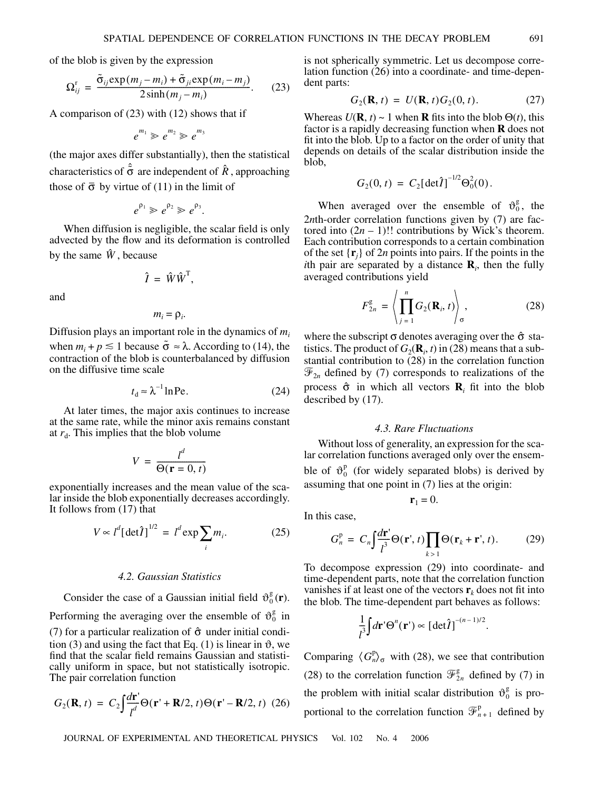of the blob is given by the expression

$$
\Omega_{ij}^{\rm r} = \frac{\tilde{\sigma}_{ij} \exp(m_j - m_i) + \tilde{\sigma}_{ji} \exp(m_i - m_j)}{2 \sinh(m_j - m_i)}.
$$
 (23)

A comparison of (23) with (12) shows that if

$$
e^{m_1}\gg e^{m_2}\gg e^{m_3}
$$

(the major axes differ substantially), then the statistical characteristics of  $\hat{\tilde{\sigma}}$  are independent of  $\hat{R}$ , approaching those of  $\bar{\sigma}$  by virtue of (11) in the limit of

$$
e^{\rho_1} \gg e^{\rho_2} \gg e^{\rho_3}.
$$

When diffusion is negligible, the scalar field is only advected by the flow and its deformation is controlled by the same  $\hat{W}$ , because

$$
\hat{I} = \hat{W}\hat{W}^{\mathrm{T}},
$$

and

$$
m_i = \rho_i.
$$

Diffusion plays an important role in the dynamics of *mi* when  $m_i + p \leq 1$  because  $\tilde{\sigma} \approx \lambda$ . According to (14), the contraction of the blob is counterbalanced by diffusion on the diffusive time scale

$$
t_{\rm d} \approx \lambda^{-1} \ln \text{Pe}.\tag{24}
$$

At later times, the major axis continues to increase at the same rate, while the minor axis remains constant at  $r_d$ . This implies that the blob volume

$$
V = \frac{l^d}{\Theta(\mathbf{r} = 0, t)}
$$

exponentially increases and the mean value of the scalar inside the blob exponentially decreases accordingly. It follows from  $(17)$  that

$$
V \propto l^d \left[ \det \hat{I} \right]^{1/2} = l^d \exp \sum_i m_i. \tag{25}
$$

#### *4.2. Gaussian Statistics*

Consider the case of a Gaussian initial field  $\vartheta_0^g(\mathbf{r})$ .

Performing the averaging over the ensemble of  $\vartheta_0^g$  in (7) for a particular realization of  $\hat{\sigma}$  under initial condition (3) and using the fact that Eq. (1) is linear in  $\vartheta$ , we find that the scalar field remains Gaussian and statistically uniform in space, but not statistically isotropic. The pair correlation function

$$
G_2(\mathbf{R}, t) = C_2 \int \frac{d\mathbf{r}'}{t^d} \Theta(\mathbf{r}' + \mathbf{R}/2, t) \Theta(\mathbf{r}' - \mathbf{R}/2, t) \tag{26}
$$

is not spherically symmetric. Let us decompose correlation function (26) into a coordinate- and time-dependent parts:

$$
G_2(\mathbf{R}, t) = U(\mathbf{R}, t) G_2(0, t). \tag{27}
$$

Whereas  $U(\mathbf{R}, t) \sim 1$  when **R** fits into the blob  $\Theta(t)$ , this factor is a rapidly decreasing function when **R** does not fit into the blob. Up to a factor on the order of unity that depends on details of the scalar distribution inside the blob,

$$
G_2(0, t) = C_2[\det \hat{I}]^{-1/2} \Theta_0^2(0).
$$

When averaged over the ensemble of  $\vartheta_0^g$ , the 2*nth*-order correlation functions given by (7) are factored into  $(2n - 1)!!$  contributions by Wick's theorem. Each contribution corresponds to a certain combination of the set  $\{\mathbf{r}_j\}$  of 2*n* points into pairs. If the points in the *i*th pair are separated by a distance  $\mathbf{R}_i$ , then the fully averaged contributions yield

$$
F_{2n}^{\mathcal{g}} = \left\langle \prod_{j=1}^{n} G_2(\mathbf{R}_i, t) \right\rangle_{\sigma}, \tag{28}
$$

where the subscript  $\sigma$  denotes averaging over the  $\hat{\sigma}$  statistics. The product of  $G_2(\mathbf{R}_i, t)$  in (28) means that a substantial contribution to (28) in the correlation function  $\mathcal{F}_{2n}$  defined by (7) corresponds to realizations of the process  $\hat{\sigma}$  in which all vectors **R**<sub>*i*</sub> fit into the blob described by (17).

# *4.3. Rare Fluctuations*

Without loss of generality, an expression for the scalar correlation functions averaged only over the ensemble of  $\vartheta_0^p$  (for widely separated blobs) is derived by assuming that one point in (7) lies at the origin:

$$
\mathbf{r}_1 = 0.
$$

In this case,

$$
G_n^p = C_n \int \frac{d\mathbf{r}'}{l^3} \Theta(\mathbf{r}',t) \prod_{k>1} \Theta(\mathbf{r}_k + \mathbf{r}',t). \tag{29}
$$

To decompose expression (29) into coordinate- and time-dependent parts, note that the correlation function vanishes if at least one of the vectors  $\mathbf{r}_k$  does not fit into the blob. The time-dependent part behaves as follows:

$$
\frac{1}{l^3}\int d\mathbf{r}'\Theta^n(\mathbf{r}') \propto \left[\det \hat{I}\right]^{-(n-1)/2}.
$$

Comparing  $\langle G_n^{\mathsf{P}} \rangle_{\sigma}$  with (28), we see that contribution (28) to the correlation function  $\mathcal{F}_{2n}^g$  defined by (7) in the problem with initial scalar distribution  $\vartheta_0^g$  is proportional to the correlation function  $\mathcal{F}_{n+1}^{\text{p}}$  defined by g p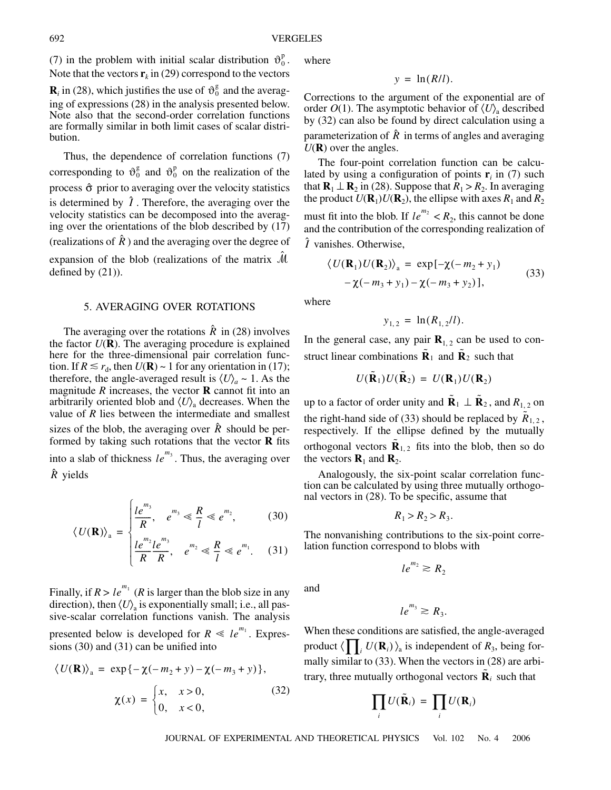(7) in the problem with initial scalar distribution  $\vartheta_0^p$ . Note that the vectors  $\mathbf{r}_k$  in (29) correspond to the vectors

 $\mathbf{R}_i$  in (28), which justifies the use of  $\vartheta_0^g$  and the averaging of expressions (28) in the analysis presented below. Note also that the second-order correlation functions are formally similar in both limit cases of scalar distribution.

Thus, the dependence of correlation functions (7) corresponding to  $\vartheta_0^g$  and  $\vartheta_0^p$  on the realization of the process  $\hat{\sigma}$  prior to averaging over the velocity statistics is determined by  $\hat{I}$ . Therefore, the averaging over the velocity statistics can be decomposed into the averaging over the orientations of the blob described by (17) (realizations of  $\hat{R}$ ) and the averaging over the degree of expansion of the blob (realizations of the matrix  $\hat{\mathcal{M}}$ defined by (21)).

## 5. AVERAGING OVER ROTATIONS

The averaging over the rotations  $\hat{R}$  in (28) involves the factor  $U(\mathbf{R})$ . The averaging procedure is explained here for the three-dimensional pair correlation function. If  $R \le r_d$ , then  $U(\mathbf{R}) \sim 1$  for any orientation in (17); therefore, the angle-averaged result is  $\langle U \rangle_a \sim 1$ . As the magnitude  $R$  increases, the vector  $R$  cannot fit into an arbitrarily oriented blob and  $\langle U \rangle$ <sub>a</sub> decreases. When the value of *R* lies between the intermediate and smallest sizes of the blob, the averaging over  $\hat{R}$  should be performed by taking such rotations that the vector **R** fits into a slab of thickness  $le^{m_3}$ . Thus, the averaging over  $\hat{R}$  yields

$$
U(P) = \begin{cases} le^{m_3} & e^{m_3} \leq R \leq e^{m_2}, \\ R & e^{m_3} \leq R \end{cases}
$$
 (30)

$$
\langle U(\mathbf{R}) \rangle_{\mathbf{a}} = \begin{cases} \frac{1}{l} e^{m_2} e^{m_3} \\ \frac{1}{R} e^{m_2} R, & e^{m_2} \leq \frac{R}{l} \leq e^{m_1}. \end{cases} (31)
$$

Finally, if  $R > le^{m_1}$  (*R* is larger than the blob size in any direction), then  $\langle U \rangle$ <sub>a</sub> is exponentially small; i.e., all passive-scalar correlation functions vanish. The analysis presented below is developed for  $R \ll le^{m_1}$ . Expressions (30) and (31) can be unified into

$$
\langle U(\mathbf{R}) \rangle_{\mathbf{a}} = \exp\{-\chi(-m_2 + y) - \chi(-m_3 + y)\},
$$
  

$$
\chi(x) = \begin{cases} x, & x > 0, \\ 0, & x < 0, \end{cases}
$$
 (32)

where

$$
y = \ln(R/l).
$$

Corrections to the argument of the exponential are of order  $O(1)$ . The asymptotic behavior of  $\langle U \rangle$ <sub>a</sub> described by (32) can also be found by direct calculation using a parameterization of  $\hat{R}$  in terms of angles and averaging  $U(\mathbf{R})$  over the angles.

The four-point correlation function can be calculated by using a configuration of points  $\mathbf{r}_i$  in (7) such that  $\mathbf{R}_1 \perp \mathbf{R}_2$  in (28). Suppose that  $R_1 > R_2$ . In averaging the product  $U(\mathbf{R}_1)U(\mathbf{R}_2)$ , the ellipse with axes  $R_1$  and  $R_2$ must fit into the blob. If  $le^{m_2} < R_2$ , this cannot be done and the contribution of the corresponding realization of  $\hat{I}$  vanishes. Otherwise,

$$
\langle U(\mathbf{R}_1)U(\mathbf{R}_2)\rangle_{\mathbf{a}} = \exp[-\chi(-m_2 + y_1) - \chi(-m_3 + y_1) - \chi(-m_3 + y_2)], \tag{33}
$$

where

$$
y_{1,2} = \ln(R_{1,2}/l).
$$

In the general case, any pair  $\mathbf{R}_{1,2}$  can be used to construct linear combinations  $\tilde{\mathbf{R}}_1$  and  $\tilde{\mathbf{R}}_2$  such that

$$
U(\tilde{\mathbf{R}}_1)U(\tilde{\mathbf{R}}_2) = U(\mathbf{R}_1)U(\mathbf{R}_2)
$$

up to a factor of order unity and  $\tilde{\mathbf{R}}_1 \perp \tilde{\mathbf{R}}_2$ , and  $R_{1,2}$  on the right-hand side of (33) should be replaced by  $\tilde{R}_{1,2}$ , respectively. If the ellipse defined by the mutually orthogonal vectors  $\tilde{\mathbf{R}}_{1,2}$  fits into the blob, then so do the vectors  $\mathbf{R}_1$  and  $\mathbf{R}_2$ .

Analogously, the six-point scalar correlation function can be calculated by using three mutually orthogonal vectors in (28). To be specific, assume that

$$
R_1 > R_2 > R_3.
$$

The nonvanishing contributions to the six-point correlation function correspond to blobs with

$$
le^{m_2} \geq R_2
$$

and

$$
le^{m_3} \ge R_3.
$$

When these conditions are satisfied, the angle-averaged product  $\langle \prod_i U(\mathbf{R}_i) \rangle$ <sub>a</sub> is independent of  $R_3$ , being formally similar to (33). When the vectors in (28) are arbitrary, three mutually orthogonal vectors  $\tilde{\mathbf{R}}_i$  such that

$$
\prod_i U(\tilde{\mathbf{R}}_i) = \prod_i U(\mathbf{R}_i)
$$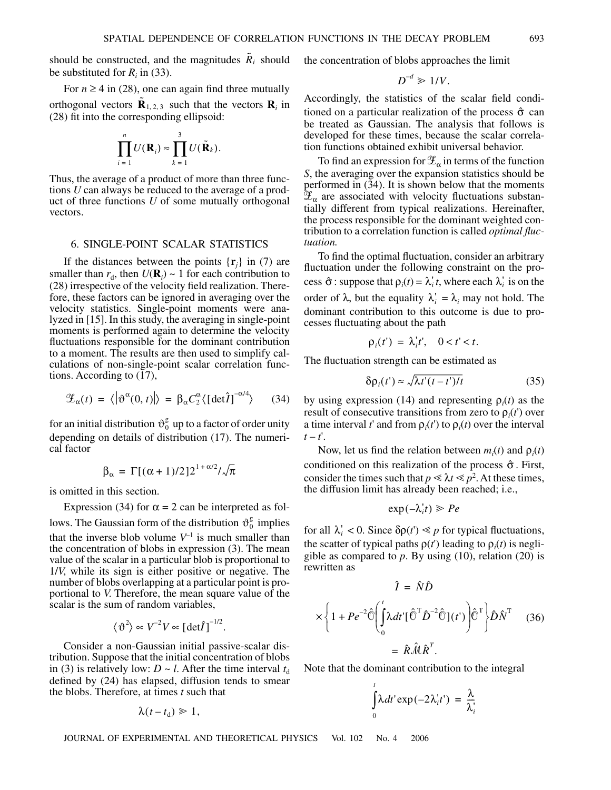should be constructed, and the magnitudes  $\tilde{R}_i$  should be substituted for  $R_i$  in (33).

For  $n \geq 4$  in (28), one can again find three mutually orthogonal vectors  $\tilde{\mathbf{R}}_{1,2,3}$  such that the vectors  $\mathbf{R}_i$  in (28) fit into the corresponding ellipsoid:

$$
\prod_{i=1}^n U(\mathbf{R}_i) \approx \prod_{k=1}^3 U(\tilde{\mathbf{R}}_k).
$$

Thus, the average of a product of more than three functions *U* can always be reduced to the average of a product of three functions *U* of some mutually orthogonal vectors.

## 6. SINGLE-POINT SCALAR STATISTICS

If the distances between the points  $\{r_j\}$  in (7) are smaller than  $r_d$ , then  $U(\mathbf{R}_i) \sim 1$  for each contribution to (28) irrespective of the velocity field realization. Therefore, these factors can be ignored in averaging over the velocity statistics. Single-point moments were analyzed in [15]. In this study, the averaging in single-point moments is performed again to determine the velocity fluctuations responsible for the dominant contribution to a moment. The results are then used to simplify calculations of non-single-point scalar correlation functions. According to (17),

$$
\mathscr{Z}_{\alpha}(t) = \langle |\vartheta^{\alpha}(0, t)| \rangle = \beta_{\alpha} C_{2}^{\alpha} \langle [\det \hat{I}]^{-\alpha/4} \rangle \qquad (34)
$$

for an initial distribution  $\vartheta_0^{\rm g}$  up to a factor of order unity depending on details of distribution (17). The numerical factor

$$
\beta_{\alpha} = \Gamma[(\alpha + 1)/2]2^{1 + \alpha/2}/\sqrt{\pi}
$$

is omitted in this section.

Expression (34) for  $\alpha = 2$  can be interpreted as follows. The Gaussian form of the distribution  $\vartheta_0^g$  implies that the inverse blob volume  $V^{-1}$  is much smaller than the concentration of blobs in expression (3). The mean value of the scalar in a particular blob is proportional to 1/*V*, while its sign is either positive or negative. The number of blobs overlapping at a particular point is proportional to *V*. Therefore, the mean square value of the

$$
\langle \vartheta^2 \rangle \propto V^{-2} V \propto \left[ \det \hat{I} \right]^{-1/2}.
$$

scalar is the sum of random variables,

Consider a non-Gaussian initial passive-scalar distribution. Suppose that the initial concentration of blobs in (3) is relatively low:  $D \sim l$ . After the time interval  $t_d$ defined by (24) has elapsed, diffusion tends to smear the blobs. Therefore, at times *t* such that

$$
\lambda(t-t_{\rm d})\geq 1,
$$

the concentration of blobs approaches the limit

$$
D^{-d}\gg 1/V.
$$

Accordingly, the statistics of the scalar field conditioned on a particular realization of the process  $\hat{\sigma}$  can be treated as Gaussian. The analysis that follows is developed for these times, because the scalar correlation functions obtained exhibit universal behavior.

To find an expression for  $\mathscr{L}_{\alpha}$  in terms of the function *S*, the averaging over the expansion statistics should be performed in (34). It is shown below that the moments  $\mathfrak{X}_{\alpha}$  are associated with velocity fluctuations substantially different from typical realizations. Hereinafter, the process responsible for the dominant weighted contribution to a correlation function is called *optimal fluctuation.*

To find the optimal fluctuation, consider an arbitrary fluctuation under the following constraint on the process  $\hat{\sigma}$ : suppose that  $\rho_i(t) = \lambda_i^t t$ , where each  $\lambda_i^t$  is on the order of  $\lambda$ , but the equality  $\lambda_i' = \lambda_i$  may not hold. The dominant contribution to this outcome is due to processes fluctuating about the path

$$
\rho_i(t') = \lambda_i' t', \quad 0 < t' < t.
$$

The fluctuation strength can be estimated as

$$
\delta \rho_i(t') \approx \sqrt{\lambda t'(t-t')/t} \tag{35}
$$

by using expression (14) and representing  $\rho_i(t)$  as the result of consecutive transitions from zero to  $\rho_i(t)$  over a time interval *t*' and from  $\rho_i(t)$  to  $\rho_i(t)$  over the interval  $t-t$ <sup>'</sup>.

Now, let us find the relation between  $m_i(t)$  and  $p_i(t)$ conditioned on this realization of the process  $\hat{\sigma}$ . First, consider the times such that  $p \le \lambda t \le p^2$ . At these times, the diffusion limit has already been reached; i.e.,

$$
\exp(-\lambda_i' t) \geqslant Pe
$$

for all  $\lambda_i' < 0$ . Since  $\delta \rho(t') \leq p$  for typical fluctuations, the scatter of typical paths  $\rho(t')$  leading to  $\rho_i(t)$  is negligible as compared to  $p$ . By using  $(10)$ , relation  $(20)$  is rewritten as

$$
\hat{I} = \hat{N}\hat{D}
$$
  

$$
\times \left\{ 1 + Pe^{-2} \hat{\mathbb{O}} \left( \int_{0}^{t} \lambda dt' [\hat{\mathbb{O}}^{T} \hat{D}^{-2} \hat{\mathbb{O}}](t') \right) \hat{\mathbb{O}}^{T} \right\} \hat{D} \hat{N}^{T} \quad (36)
$$

$$
= \hat{R} \hat{M} \hat{R}^{T}.
$$

Note that the dominant contribution to the integral

$$
\int_{0}^{t} \lambda dt' \exp(-2\lambda'_i t') = \frac{\lambda}{\lambda'_i}
$$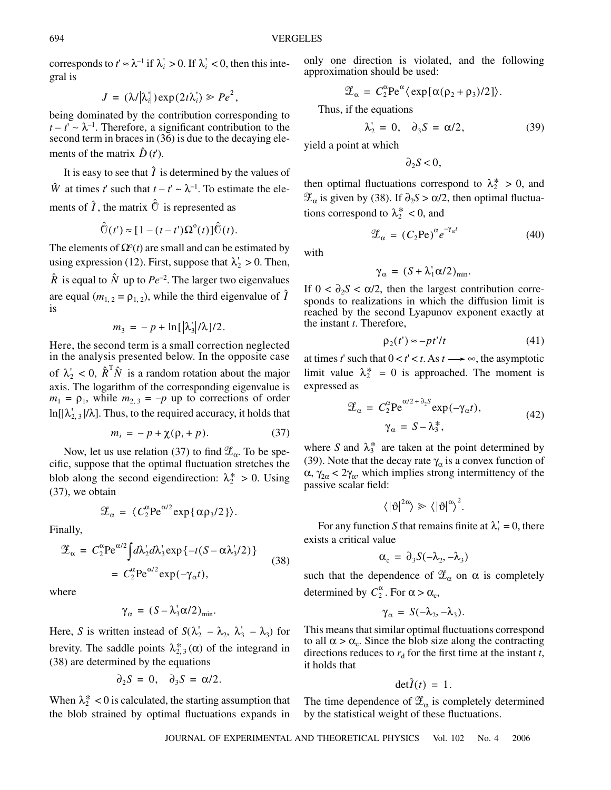corresponds to  $t' \approx \lambda^{-1}$  if  $\lambda_i' > 0$ . If  $\lambda_i' < 0$ , then this integral is

$$
J = (\lambda/|\lambda'_i|) \exp(2t\lambda'_i) \geqslant Pe^2,
$$

being dominated by the contribution corresponding to  $t - t' \sim \lambda^{-1}$ . Therefore, a significant contribution to the second term in braces in (36) is due to the decaying elements of the matrix  $\hat{D}(t')$ .

It is easy to see that  $\hat{I}$  is determined by the values of  $\hat{W}$  at times *t*' such that  $t - t' \sim \lambda^{-1}$ . To estimate the elements of  $\hat{\imath}$ , the matrix  $\hat{\mathbb{O}}$  is represented as

$$
\hat{\widehat{\mathbb{O}}}(t') \approx [1 - (t - t')\Omega^{\circ}(t)]\hat{\widehat{\mathbb{O}}}(t).
$$

The elements of  $\Omega^{\circ}(t)$  are small and can be estimated by using expression (12). First, suppose that  $\lambda'_2 > 0$ . Then,  $\hat{R}$  is equal to  $\hat{N}$  up to  $Pe^{-2}$ . The larger two eigenvalues

are equal  $(m_{1,2} = \rho_{1,2})$ , while the third eigenvalue of  $\hat{I}$ is

$$
m_3 = -p + \ln[\lambda_3' / \lambda]/2.
$$

Here, the second term is a small correction neglected in the analysis presented below. In the opposite case of  $\lambda'_2 < 0$ ,  $\hat{R}^T \hat{N}$  is a random rotation about the major axis. The logarithm of the corresponding eigenvalue is  $m_1 = \rho_1$ , while  $m_{2,3} = -p$  up to corrections of order  $\ln[|\lambda'_2|, |\lambda|]$ . Thus, to the required accuracy, it holds that

$$
m_i = -p + \chi(\rho_i + p). \tag{37}
$$

Now, let us use relation (37) to find  $\mathscr{L}_{\alpha}$ . To be specific, suppose that the optimal fluctuation stretches the blob along the second eigendirection:  $\lambda_2^* > 0$ . Using (37), we obtain

$$
\mathscr{L}_{\alpha} = \langle C_2^{\alpha} \text{Pe}^{\alpha/2} \exp{\{\alpha \rho_3/2\}} \rangle.
$$

Finally,

$$
\mathcal{Z}_{\alpha} = C_2^{\alpha} \text{Pe}^{\alpha/2} \int d\lambda_2 d\lambda_3 \exp\{-t(S - \alpha \lambda_3/2)\}\n= C_2^{\alpha} \text{Pe}^{\alpha/2} \exp(-\gamma_{\alpha} t),
$$
\n(38)

where

$$
\gamma_{\alpha} = (S - \lambda_3' \alpha/2)_{\min}.
$$

Here, *S* is written instead of  $S(\lambda'_2 - \lambda_2, \lambda'_3 - \lambda_3)$  for brevity. The saddle points  $\lambda_{2,3}^* (\alpha)$  of the integrand in (38) are determined by the equations

$$
\partial_2 S = 0, \quad \partial_3 S = \alpha/2.
$$

When  $\lambda_2^* < 0$  is calculated, the starting assumption that the blob strained by optimal fluctuations expands in only one direction is violated, and the following approximation should be used:

$$
\mathscr{L}_{\alpha} = C_2^{\alpha} \text{Pe}^{\alpha} \langle \exp[\alpha(\rho_2 + \rho_3)/2] \rangle.
$$

Thus, if the equations

$$
\lambda_2' = 0, \quad \partial_3 S = \alpha/2, \tag{39}
$$

yield a point at which

 $∂<sub>2</sub>S < 0$ ,

then optimal fluctuations correspond to  $\lambda_2^* > 0$ , and  $\mathscr{L}_{\alpha}$  is given by (38). If  $\partial_2 S > \alpha/2$ , then optimal fluctuations correspond to  $\lambda_2^* < 0$ , and

$$
\mathscr{Z}_{\alpha} = (C_2 \text{Pe})^{\alpha} e^{-\gamma_{\alpha}t} \tag{40}
$$

with

$$
\gamma_{\alpha} = (S + \lambda_1' \alpha/2)_{\min}.
$$

If  $0 < \partial_2 S < \alpha/2$ , then the largest contribution corresponds to realizations in which the diffusion limit is reached by the second Lyapunov exponent exactly at the instant *t*. Therefore,

$$
\rho_2(t') \approx -pt'/t \tag{41}
$$

at times *t*' such that  $0 < t' < t$ . As  $t \rightarrow \infty$ , the asymptotic limit value  $\lambda_2^* = 0$  is approached. The moment is expressed as

$$
\mathcal{Z}_{\alpha} = C_2^{\alpha} \text{Pe}^{\alpha/2 + \partial_2 s} \exp(-\gamma_{\alpha} t),
$$
  

$$
\gamma_{\alpha} = S - \lambda_3^*,
$$
 (42)

where S and  $\lambda_3^*$  are taken at the point determined by (39). Note that the decay rate  $\gamma_\alpha$  is a convex function of  $\alpha$ ,  $\gamma_{2\alpha} < 2\gamma_{\alpha}$ , which implies strong intermittency of the passive scalar field:

$$
\langle |\vartheta|^{2\alpha}\rangle \gg \langle |\vartheta|^{\alpha}\rangle^{2}.
$$

For any function *S* that remains finite at  $\lambda_i' = 0$ , there exists a critical value

$$
\alpha_{\rm c} = \partial_3 S(-\lambda_2, -\lambda_3)
$$

such that the dependence of  $\mathscr{L}_{\alpha}$  on  $\alpha$  is completely determined by  $C_2^{\alpha}$ . For  $\alpha > \alpha_c$ ,

$$
\gamma_{\alpha} = S(-\lambda_2, -\lambda_3).
$$

This means that similar optimal fluctuations correspond to all  $\alpha > \alpha_c$ . Since the blob size along the contracting directions reduces to  $r_d$  for the first time at the instant  $t$ , it holds that

$$
\det \hat{I}(t) = 1.
$$

The time dependence of  $\mathscr{L}_{\alpha}$  is completely determined by the statistical weight of these fluctuations.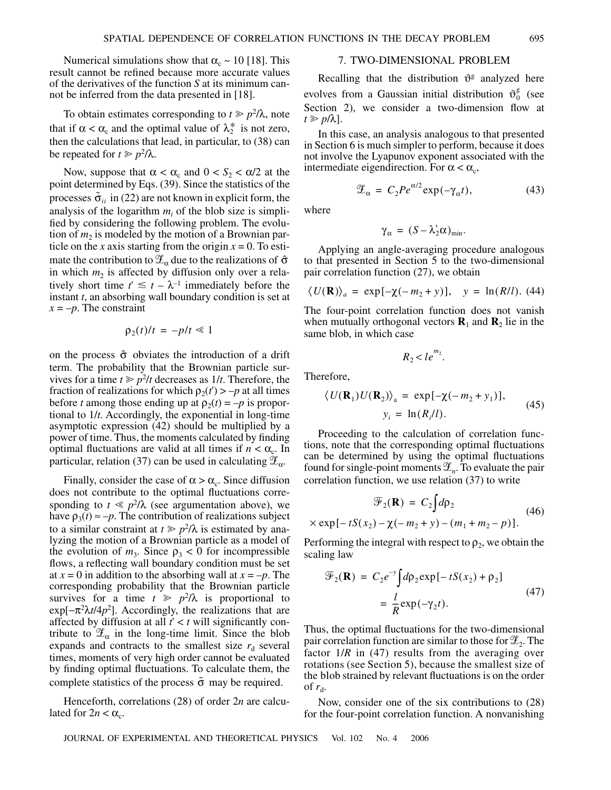Numerical simulations show that  $\alpha_c \sim 10$  [18]. This result cannot be refined because more accurate values of the derivatives of the function *S* at its minimum cannot be inferred from the data presented in [18].

To obtain estimates corresponding to  $t \geq p^2/\lambda$ , note that if  $\alpha < \alpha_c$  and the optimal value of  $\lambda_2^*$  is not zero, then the calculations that lead, in particular, to (38) can be repeated for  $t \geq p^2/\lambda$ .

Now, suppose that  $\alpha < \alpha_c$  and  $0 < S_2 < \alpha/2$  at the point determined by Eqs. (39). Since the statistics of the processes  $\tilde{\sigma}_{ii}$  in (22) are not known in explicit form, the analysis of the logarithm  $m_i$  of the blob size is simplified by considering the following problem. The evolution of  $m_2$  is modeled by the motion of a Brownian particle on the *x* axis starting from the origin  $x = 0$ . To estimate the contribution to  $\mathscr{Z}_{\alpha}$  due to the realizations of  $\hat{\sigma}$ in which  $m_2$  is affected by diffusion only over a relatively short time  $t' \leq t - \lambda^{-1}$  immediately before the instant *t*, an absorbing wall boundary condition is set at  $x = -p$ . The constraint

$$
\rho_2(t)/t = -p/t \ll 1
$$

on the process  $\hat{\sigma}$  obviates the introduction of a drift term. The probability that the Brownian particle survives for a time  $t \geq p^2/t$  decreases as  $1/t$ . Therefore, the fraction of realizations for which  $\rho_2(t') > -p$  at all times before *t* among those ending up at  $\rho_2(t) = -p$  is proportional to 1/*t.* Accordingly, the exponential in long-time asymptotic expression (42) should be multiplied by a power of time. Thus, the moments calculated by finding optimal fluctuations are valid at all times if  $n < \alpha_c$ . In particular, relation (37) can be used in calculating  $\mathscr{L}_{\alpha}$ .

Finally, consider the case of  $\alpha > \alpha_c$ . Since diffusion does not contribute to the optimal fluctuations corresponding to  $t \leq p^2/\lambda$  (see argumentation above), we have  $\rho_3(t) \approx -p$ . The contribution of realizations subject to a similar constraint at  $t \geq p^2/\lambda$  is estimated by analyzing the motion of a Brownian particle as a model of the evolution of  $m_3$ . Since  $\rho_3 < 0$  for incompressible flows, a reflecting wall boundary condition must be set at  $x = 0$  in addition to the absorbing wall at  $x = -p$ . The corresponding probability that the Brownian particle survives for a time  $t \geq p^2/\lambda$  is proportional to  $exp[-\pi^2 \lambda t/4p^2]$ . Accordingly, the realizations that are affected by diffusion at all *t*' < *t* will significantly contribute to  $\mathscr{L}_{\alpha}$  in the long-time limit. Since the blob expands and contracts to the smallest size  $r_d$  several times, moments of very high order cannot be evaluated by finding optimal fluctuations. To calculate them, the complete statistics of the process  $\tilde{\sigma}$  may be required.

Henceforth, correlations (28) of order 2*n* are calculated for  $2n < \alpha_c$ .

# 7. TWO-DIMENSIONAL PROBLEM

Recalling that the distribution  $\vartheta$ <sup>g</sup> analyzed here evolves from a Gaussian initial distribution  $\vartheta_0^g$  (see Section 2), we consider a two-dimension flow at  $t \geq p/\lambda$ ].

In this case, an analysis analogous to that presented in Section 6 is much simpler to perform, because it does not involve the Lyapunov exponent associated with the intermediate eigendirection. For  $\alpha < \alpha_c$ ,

$$
\mathscr{Z}_{\alpha} = C_2 P e^{\alpha/2} \exp(-\gamma_{\alpha} t), \tag{43}
$$

where

$$
\gamma_{\alpha} = (S - \lambda_2' \alpha)_{\min}.
$$

Applying an angle-averaging procedure analogous to that presented in Section 5 to the two-dimensional pair correlation function (27), we obtain

$$
\langle U(\mathbf{R}) \rangle_a = \exp[-\chi(-m_2 + y)], \quad y = \ln(R/l). \tag{44}
$$

The four-point correlation function does not vanish when mutually orthogonal vectors  $\mathbf{R}_1$  and  $\mathbf{R}_2$  lie in the same blob, in which case

 $R_2 < le^{m_2}$ .

Therefore,

$$
\langle U(\mathbf{R}_1)U(\mathbf{R}_2)\rangle_{\mathbf{a}} = \exp[-\chi(-m_2 + y_1)],
$$
  

$$
y_i = \ln(R_i/l).
$$
 (45)

Proceeding to the calculation of correlation functions, note that the corresponding optimal fluctuations can be determined by using the optimal fluctuations found for single-point moments  $\mathscr{L}_n$ . To evaluate the pair correlation function, we use relation (37) to write

$$
\mathcal{F}_2(\mathbf{R}) = C_2 \int d\rho_2
$$
  
 
$$
\times \exp[-tS(x_2) - \chi(-m_2 + y) - (m_1 + m_2 - p)].
$$
 (46)

Performing the integral with respect to  $\rho_2$ , we obtain the scaling law

$$
\mathcal{F}_2(\mathbf{R}) = C_2 e^{-y} \int d\rho_2 \exp[-tS(x_2) + \rho_2]
$$
  
=  $\frac{l}{R} \exp(-\gamma_2 t).$  (47)

Thus, the optimal fluctuations for the two-dimensional pair correlation function are similar to those for  $\mathscr{L}_2$ . The factor  $1/R$  in (47) results from the averaging over rotations (see Section 5), because the smallest size of the blob strained by relevant fluctuations is on the order of  $r_{\rm d}$ .

Now, consider one of the six contributions to (28) for the four-point correlation function. A nonvanishing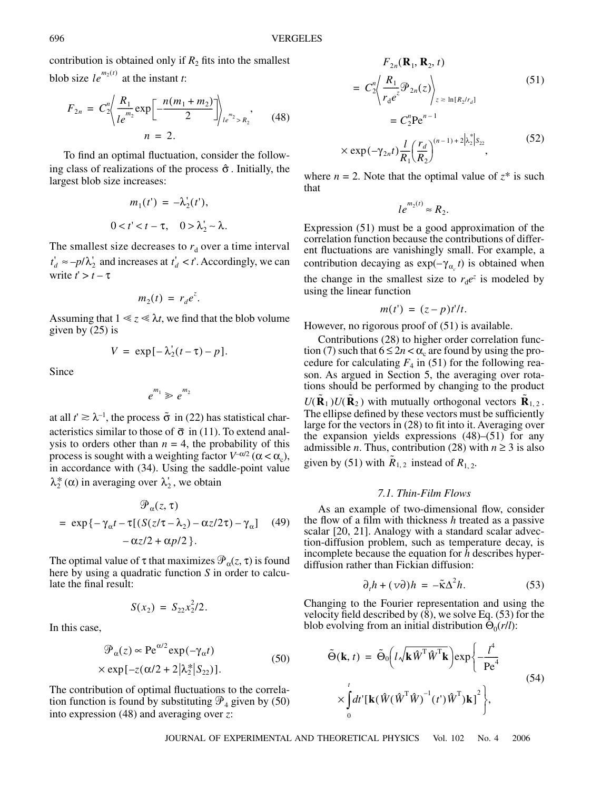contribution is obtained only if  $R_2$  fits into the smallest blob size  $le^{m_2(t)}$  at the instant *t*:

$$
F_{2n} = C_2^n \left\langle \frac{R_1}{le^{m_2}} \exp\left[ \frac{-n(m_1 + m_2)}{2} \right] \right\rangle_{le^{m_2} > R_2}, \quad (48)
$$

$$
n = 2.
$$

To find an optimal fluctuation, consider the following class of realizations of the process  $\hat{\sigma}$ . Initially, the largest blob size increases:

$$
m_1(t') = -\lambda'_2(t'),
$$
  

$$
0 < t' < t - \tau, \quad 0 > \lambda'_2 > \lambda.
$$

The smallest size decreases to  $r_d$  over a time interval  $t'_d \approx -p/\lambda'_2$  and increases at  $t'_d < t'$ . Accordingly, we can write  $t' > t - \tau$ 

$$
m_2(t) = r_d e^z.
$$

Assuming that  $1 \le z \le \lambda t$ , we find that the blob volume given by (25) is

$$
V = \exp[-\lambda_2'(t-\tau)-p].
$$

Since

$$
e^{m_1}\gg e^{m_2}
$$

at all  $t' \ge \lambda^{-1}$ , the process  $\tilde{\sigma}$  in (22) has statistical characteristics similar to those of  $\bar{\sigma}$  in (11). To extend analysis to orders other than  $n = 4$ , the probability of this process is sought with a weighting factor  $V^{-\alpha/2}$  ( $\alpha < \alpha_c$ ), in accordance with (34). Using the saddle-point value  $\lambda_2^* (\alpha)$  in averaging over  $\lambda_2$ , we obtain

$$
\mathcal{P}_{\alpha}(z, \tau)
$$
\n
$$
= \exp\{-\gamma_{\alpha}t - \tau[(S(z/\tau - \lambda_{2}) - \alpha z/2\tau) - \gamma_{\alpha}] \quad (49)
$$
\n
$$
-\alpha z/2 + \alpha p/2 \}.
$$

The optimal value of  $\tau$  that maximizes  $\mathcal{P}_{\alpha}(z, \tau)$  is found here by using a quadratic function *S* in order to calculate the final result:

$$
S(x_2) = S_{22}x_2^2/2.
$$

In this case,

$$
\mathcal{P}_{\alpha}(z) \propto \text{Pe}^{\alpha/2} \exp(-\gamma_{\alpha}t)
$$
  
×  $\exp[-z(\alpha/2 + 2|\lambda_2^*|S_{22})].$  (50)

The contribution of optimal fluctuations to the correlation function is found by substituting  $\mathcal{P}_4$  given by (50) into expression (48) and averaging over *z*:

$$
F_{2n}(\mathbf{R}_1, \mathbf{R}_2, t)
$$
  
=  $C_2^n \left\langle \frac{R_1}{r_d e^z} \mathcal{P}_{2n}(z) \right\rangle_{z \ge \ln[R_2/r_d]}$  (51)  
=  $C_2^n \text{Pe}^{n-1}$   

$$
\times \exp(-\gamma_{2n}t) \frac{l}{R_1} \left(\frac{r_d}{R_2}\right)^{(n-1)+2|\lambda_2|S_{22}},
$$
 (52)

where  $n = 2$ . Note that the optimal value of  $z^*$  is such that

$$
le^{m_2(t)} \approx R_2.
$$

Expression (51) must be a good approximation of the correlation function because the contributions of different fluctuations are vanishingly small. For example, a contribution decaying as  $exp(-\gamma_{\alpha_c}t)$  is obtained when the change in the smallest size to  $r_d e^z$  is modeled by using the linear function

$$
m(t') = (z-p)t'/t.
$$

However, no rigorous proof of (51) is available.

Contributions (28) to higher order correlation function (7) such that  $6 \le 2n < \alpha_c$  are found by using the procedure for calculating  $F_4$  in (51) for the following reason. As argued in Section 5, the averaging over rotations should be performed by changing to the product  $U(\tilde{\mathbf{R}}_1)U(\tilde{\mathbf{R}}_2)$  with mutually orthogonal vectors  $\tilde{\mathbf{R}}_{1,2}$ . The ellipse defined by these vectors must be sufficiently large for the vectors in (28) to fit into it. Averaging over the expansion yields expressions (48)–(51) for any admissible *n*. Thus, contribution (28) with  $n \ge 3$  is also given by (51) with  $\tilde{R}_{1,2}$  instead of  $R_{1,2}$ .

## *7.1. Thin-Film Flows*

As an example of two-dimensional flow, consider the flow of a film with thickness *h* treated as a passive scalar [20, 21]. Analogy with a standard scalar advection-diffusion problem, such as temperature decay, is incomplete because the equation for *h* describes hyperdiffusion rather than Fickian diffusion:

$$
\partial_t h + (\nu \partial) h = -\tilde{\kappa} \Delta^2 h. \tag{53}
$$

Changing to the Fourier representation and using the velocity field described by  $(\hat{8})$ , we solve Eq. (53) for the blob evolving from an initial distribution  $\Theta_0(r/l)$ :

$$
\tilde{\Theta}(\mathbf{k}, t) = \tilde{\Theta}_0 \left( l \sqrt{\mathbf{k} \hat{W}^{\mathrm{T}} \hat{W}^{\mathrm{T}} \mathbf{k}} \right) \exp \left\{ -\frac{l^4}{\mathrm{Pe}^4} \times \int_0^t dt' \left[ \mathbf{k} (\hat{W} (\hat{W}^{\mathrm{T}} \hat{W})^{-1} (t') \hat{W}^{\mathrm{T}}) \mathbf{k} \right]^2 \right\},
$$
\n(54)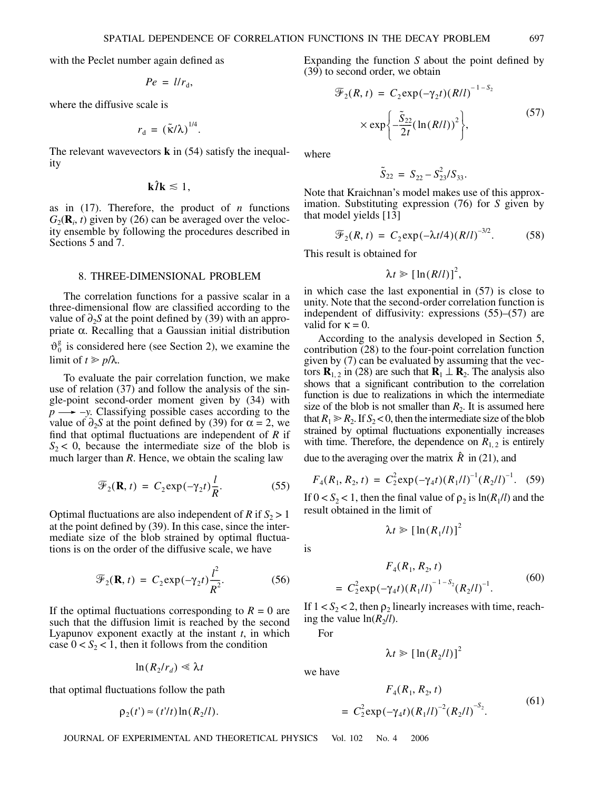with the Peclet number again defined as

$$
Pe = l/r_{\rm d},
$$

where the diffusive scale is

$$
r_{\rm d} = (\tilde{\kappa}/\lambda)^{1/4}.
$$

The relevant wavevectors **k** in (54) satisfy the inequality

$$
\mathbf{k}\hat{I}\mathbf{k} \lesssim 1,
$$

as in (17). Therefore, the product of *n* functions  $G_2(\mathbf{R}_i, t)$  given by (26) can be averaged over the velocity ensemble by following the procedures described in Sections 5 and 7.

#### 8. THREE-DIMENSIONAL PROBLEM

The correlation functions for a passive scalar in a three-dimensional flow are classified according to the value of ∂2*S* at the point defined by (39) with an appropriate α. Recalling that a Gaussian initial distribution  $\vartheta_0^g$  is considered here (see Section 2), we examine the limit of  $t \geq p/\lambda$ .

To evaluate the pair correlation function, we make use of relation (37) and follow the analysis of the single-point second-order moment given by (34) with  $p \rightarrow -y$ . Classifying possible cases according to the value of  $\partial_2 S$  at the point defined by (39) for  $\alpha = 2$ , we find that optimal fluctuations are independent of *R* if  $S_2$  < 0, because the intermediate size of the blob is much larger than *R*. Hence, we obtain the scaling law

$$
\mathcal{F}_2(\mathbf{R}, t) = C_2 \exp(-\gamma_2 t) \frac{l}{R}.
$$
 (55)

Optimal fluctuations are also independent of  $R$  if  $S_2 > 1$ at the point defined by (39). In this case, since the intermediate size of the blob strained by optimal fluctuations is on the order of the diffusive scale, we have

$$
\mathcal{F}_2(\mathbf{R}, t) = C_2 \exp(-\gamma_2 t) \frac{l^2}{R^2}.
$$
 (56)

If the optimal fluctuations corresponding to  $R = 0$  are such that the diffusion limit is reached by the second Lyapunov exponent exactly at the instant *t*, in which case  $0 < S_2 < 1$ , then it follows from the condition

$$
\ln(R_2/r_d) \ll \lambda t
$$

that optimal fluctuations follow the path

$$
\rho_2(t') \approx (t'/t) \ln(R_2/l).
$$

Expanding the function *S* about the point defined by  $(39)$  to second order, we obtain

$$
\mathcal{F}_2(R, t) = C_2 \exp(-\gamma_2 t) (R/l)^{-1-S_2}
$$

$$
\times \exp\left\{-\frac{\tilde{S}_{22}}{2t} (\ln(R/l))^2\right\},
$$
(57)

where

$$
\tilde{S}_{22} = S_{22} - S_{23}^2 / S_{33}.
$$

Note that Kraichnan's model makes use of this approximation. Substituting expression (76) for *S* given by that model yields [13]

$$
\mathcal{F}_2(R, t) = C_2 \exp(-\lambda t/4) (R/l)^{-3/2}.
$$
 (58)

This result is obtained for

$$
\lambda t \geq \left[\ln(R/l)\right]^2,
$$

in which case the last exponential in (57) is close to unity. Note that the second-order correlation function is independent of diffusivity: expressions (55)–(57) are valid for  $\kappa = 0$ .

According to the analysis developed in Section 5, contribution (28) to the four-point correlation function given by (7) can be evaluated by assuming that the vectors  $\mathbf{R}_{1,2}$  in (28) are such that  $\mathbf{R}_1 \perp \mathbf{R}_2$ . The analysis also shows that a significant contribution to the correlation function is due to realizations in which the intermediate size of the blob is not smaller than  $R_2$ . It is assumed here that  $R_1 \ge R_2$ . If  $S_2 < 0$ , then the intermediate size of the blob strained by optimal fluctuations exponentially increases with time. Therefore, the dependence on  $R_{1,2}$  is entirely

due to the averaging over the matrix  $\hat{R}$  in (21), and

$$
F_4(R_1, R_2, t) = C_2^2 \exp(-\gamma_4 t) (R_1 / l)^{-1} (R_2 / l)^{-1}.
$$
 (59)

If  $0 < S_2 < 1$ , then the final value of  $\rho_2$  is  $\ln(R_1/l)$  and the result obtained in the limit of

$$
\lambda t \geq \left[\ln(R_1/l)\right]^2
$$

is

$$
F_4(R_1, R_2, t)
$$
  
=  $C_2^2 \exp(-\gamma_4 t) (R_1 / l)^{-1 - S_2} (R_2 / l)^{-1}$ . (60)

If  $1 < S_2 < 2$ , then  $\rho_2$  linearly increases with time, reaching the value  $\ln(R_2/l)$ .

For

we have

$$
\lambda t \geq \left[\ln(R_2/l)\right]^2
$$

$$
F_4(R_1, R_2, t)
$$
  
=  $C_2^2 \exp(-\gamma_4 t) (R_1/l)^{-2} (R_2/l)^{-S_2}$ . (61)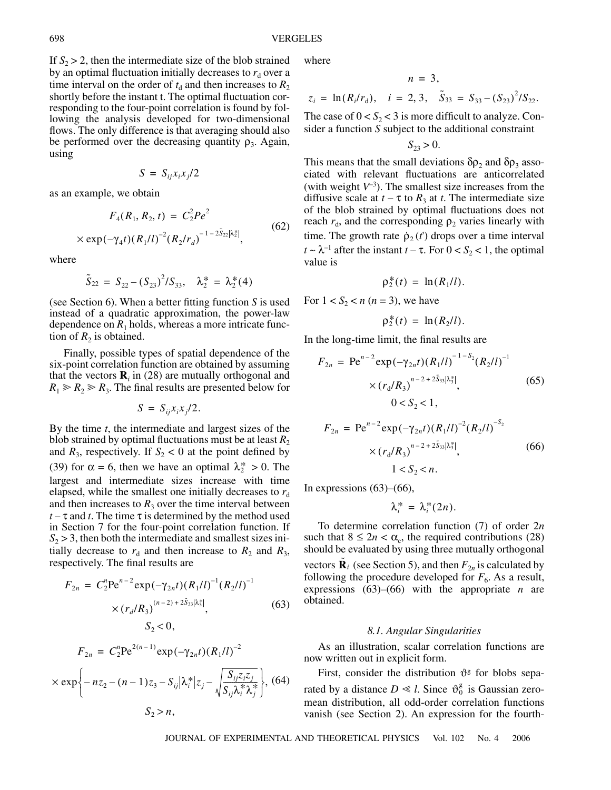If  $S_2 > 2$ , then the intermediate size of the blob strained by an optimal fluctuation initially decreases to  $r_d$  over a time interval on the order of  $t<sub>d</sub>$  and then increases to  $R<sub>2</sub>$ shortly before the instant t. The optimal fluctuation corresponding to the four-point correlation is found by following the analysis developed for two-dimensional flows. The only difference is that averaging should also be performed over the decreasing quantity  $\rho_3$ . Again, using

$$
S = S_{ij} x_i x_j / 2
$$

as an example, we obtain

$$
F_4(R_1, R_2, t) = C_2^2 P e^2
$$
  
× exp $(-\gamma_4 t)(R_1/l)^{-2} (R_2/r_d)^{-1-2\tilde{S}_{22}|\lambda_2^*|},$  (62)

where

$$
\tilde{S}_{22} = S_{22} - (S_{23})^2 / S_{33}, \quad \lambda_2^* = \lambda_2^*(4)
$$

(see Section 6). When a better fitting function *S* is used instead of a quadratic approximation, the power-law dependence on  $R_1$  holds, whereas a more intricate function of  $R_2$  is obtained.

Finally, possible types of spatial dependence of the six-point correlation function are obtained by assuming that the vectors  $\mathbf{R}_i$  in (28) are mutually orthogonal and  $R_1 \ge R_2 \ge R_3$ . The final results are presented below for

$$
S = S_{ij} x_i x_j / 2.
$$

By the time *t*, the intermediate and largest sizes of the blob strained by optimal fluctuations must be at least  $R_2$ and  $R_3$ , respectively. If  $S_2 < 0$  at the point defined by (39) for  $\alpha = 6$ , then we have an optimal  $\lambda_2^* > 0$ . The largest and intermediate sizes increase with time elapsed, while the smallest one initially decreases to  $r_d$ and then increases to  $R_3$  over the time interval between  $t - \tau$  and *t*. The time  $\tau$  is determined by the method used in Section 7 for the four-point correlation function. If  $S<sub>2</sub> > 3$ , then both the intermediate and smallest sizes initially decrease to  $r_d$  and then increase to  $R_2$  and  $R_3$ , respectively. The final results are

$$
F_{2n} = C_2^n P e^{n-2} \exp(-\gamma_{2n}t) (R_1/l)^{-1} (R_2/l)^{-1}
$$
  
\n
$$
\times (r_d/R_3)^{(n-2)+2\tilde{S}_{33}|\lambda_3^*|},
$$
(63)  
\n
$$
S_2 < 0,
$$
  
\n
$$
F_{2n} = C_2^n P e^{2(n-1)} \exp(-\gamma_{2n}t) (R_1/l)^{-2}
$$
  
\n
$$
\times \exp\left\{-nz_2 - (n-1)z_3 - S_{ij} |\lambda_i^*|z_j - \sqrt{\frac{S_{ij}z_i z_j}{S_{ij} \lambda_i^* \lambda_j^*}}\right\},
$$
(64)  
\n
$$
S_2 > n,
$$

where

$$
n = 3,
$$
  
\n
$$
z_i = \ln(R_i/r_d), \quad i = 2, 3, \quad \tilde{S}_{33} = S_{33} - (S_{23})^2/S_{22}.
$$

The case of  $0 < S_2 < 3$  is more difficult to analyze. Consider a function *S* subject to the additional constraint

$$
S_{23} > 0.
$$

This means that the small deviations  $\delta \rho_2$  and  $\delta \rho_3$  associated with relevant fluctuations are anticorrelated (with weight  $V^{-3}$ ). The smallest size increases from the diffusive scale at  $t - \tau$  to  $R_3$  at *t*. The intermediate size of the blob strained by optimal fluctuations does not reach  $r_d$ , and the corresponding  $\rho_2$  varies linearly with time. The growth rate  $\dot{\rho}_2(t)$  drops over a time interval  $t \sim \lambda^{-1}$  after the instant  $t - \tau$ . For  $0 < S_2 < 1$ , the optimal value is

$$
\rho_2^*(t) = \ln(R_1/l).
$$

For  $1 < S_2 < n$  ( $n = 3$ ), we have

$$
\rho_2^*(t) = \ln(R_2/l).
$$

In the long-time limit, the final results are

$$
F_{2n} = \text{Pe}^{n-2} \exp(-\gamma_{2n}t) (R_1/l)^{-1-S_2} (R_2/l)^{-1}
$$
  
 
$$
\times (r_d/R_3)^{n-2+2\tilde{S}_{33}|\lambda_3^*|}, \qquad (65)
$$
  
 
$$
0 < S_2 < 1,
$$
  
\n
$$
F_{2n} = \text{Pe}^{n-2} \exp(-\gamma_{2n}t) (R_1/l)^{-2} (R_2/l)^{-S_2}
$$
  
\n
$$
\times (r_d/R_3)^{n-2+2\tilde{S}_{33}|\lambda_3^*|}, \qquad (66)
$$

$$
1 < S_2 < n
$$

In expressions  $(63)$ – $(66)$ ,

$$
\lambda_i^* = \lambda_i^*(2n).
$$

To determine correlation function (7) of order 2*n* such that  $8 \le 2n < \alpha_c$ , the required contributions (28) should be evaluated by using three mutually orthogonal vectors  $\tilde{\mathbf{R}}_i$  (see Section 5), and then  $F_{2n}$  is calculated by following the procedure developed for  $F_6$ . As a result, expressions  $(63)$ – $(66)$  with the appropriate *n* are obtained.

#### *8.1. Angular Singularities*

As an illustration, scalar correlation functions are now written out in explicit form.

First, consider the distribution  $\vartheta$ <sup>g</sup> for blobs separated by a distance  $D \ll l$ . Since  $\vartheta_0^g$  is Gaussian zeromean distribution, all odd-order correlation functions vanish (see Section 2). An expression for the fourth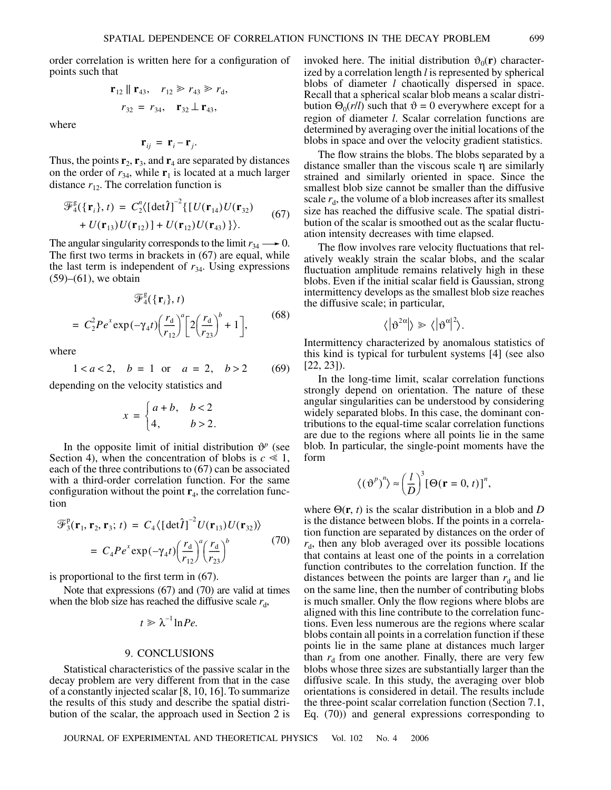order correlation is written here for a configuration of points such that

$$
\mathbf{r}_{12} \parallel \mathbf{r}_{43}, \quad r_{12} \ge r_{43} \ge r_d,
$$
  
 $r_{32} = r_{34}, \quad \mathbf{r}_{32} \perp \mathbf{r}_{43},$ 

where

$$
\mathbf{r}_{ij} = \mathbf{r}_i - \mathbf{r}_j.
$$

Thus, the points  $\mathbf{r}_2$ ,  $\mathbf{r}_3$ , and  $\mathbf{r}_4$  are separated by distances on the order of  $r_{34}$ , while  $\mathbf{r}_1$  is located at a much larger distance  $r_{12}$ . The correlation function is

$$
\mathcal{F}_4^g({\mathbf{r}_i}, t) = C_2''({\det \hat{\mathbf{l}}})^{-2} \{ [U(\mathbf{r}_{14})U(\mathbf{r}_{32}) + U(\mathbf{r}_{13})U(\mathbf{r}_{12})] + U(\mathbf{r}_{12})U(\mathbf{r}_{43}) \} \rangle.
$$
 (67)

The angular singularity corresponds to the limit  $r_{34} \longrightarrow 0$ . The first two terms in brackets in (67) are equal, while the last term is independent of  $r_{34}$ . Using expressions (59)–(61), we obtain

$$
\mathcal{F}_{4}^{g}(\{\mathbf{r}_{i}\},t)
$$
  
=  $C_{2}^{2}Pe^{x} \exp(-\gamma_{4}t) \left(\frac{r_{d}}{r_{12}}\right)^{a} \left[2\left(\frac{r_{d}}{r_{23}}\right)^{b} + 1\right],$  (68)

where

$$
1 < a < 2
$$
,  $b = 1$  or  $a = 2$ ,  $b > 2$  (69)

depending on the velocity statistics and

$$
x = \begin{cases} a+b, & b<2 \\ 4, & b>2. \end{cases}
$$

In the opposite limit of initial distribution  $\mathcal{Y}^p$  (see Section 4), when the concentration of blobs is  $c \ll 1$ , each of the three contributions to (67) can be associated with a third-order correlation function. For the same configuration without the point  $\mathbf{r}_4$ , the correlation function

$$
\mathcal{F}_3^p(\mathbf{r}_1, \mathbf{r}_2, \mathbf{r}_3; t) = C_4 \langle \left[ \det \hat{\mathbf{l}} \right]^{-2} U(\mathbf{r}_{13}) U(\mathbf{r}_{32}) \rangle
$$
  
=  $C_4 P e^x \exp(-\gamma_4 t) \left( \frac{r_d}{r_{12}} \right)^a \left( \frac{r_d}{r_{23}} \right)^b$  (70)

is proportional to the first term in (67).

Note that expressions (67) and (70) are valid at times when the blob size has reached the diffusive scale  $r_d$ ,

$$
t\geqslant \lambda^{-1}\ln Pe.
$$

# 9. CONCLUSIONS

Statistical characteristics of the passive scalar in the decay problem are very different from that in the case of a constantly injected scalar [8, 10, 16]. To summarize the results of this study and describe the spatial distribution of the scalar, the approach used in Section 2 is invoked here. The initial distribution  $\vartheta_0(\mathbf{r})$  characterized by a correlation length *l* is represented by spherical blobs of diameter *l* chaotically dispersed in space. Recall that a spherical scalar blob means a scalar distribution  $\Theta_0(r/l)$  such that  $\vartheta = 0$  everywhere except for a region of diameter *l*. Scalar correlation functions are determined by averaging over the initial locations of the blobs in space and over the velocity gradient statistics.

The flow strains the blobs. The blobs separated by a distance smaller than the viscous scale η are similarly strained and similarly oriented in space. Since the smallest blob size cannot be smaller than the diffusive scale  $r_d$ , the volume of a blob increases after its smallest size has reached the diffusive scale. The spatial distribution of the scalar is smoothed out as the scalar fluctuation intensity decreases with time elapsed.

The flow involves rare velocity fluctuations that relatively weakly strain the scalar blobs, and the scalar fluctuation amplitude remains relatively high in these blobs. Even if the initial scalar field is Gaussian, strong intermittency develops as the smallest blob size reaches the diffusive scale; in particular,

$$
\langle |\vartheta^{2\alpha}| \rangle \gg \langle |\vartheta^{\alpha}|^2 \rangle.
$$

Intermittency characterized by anomalous statistics of this kind is typical for turbulent systems [4] (see also [22, 23]).

In the long-time limit, scalar correlation functions strongly depend on orientation. The nature of these angular singularities can be understood by considering widely separated blobs. In this case, the dominant contributions to the equal-time scalar correlation functions are due to the regions where all points lie in the same blob. In particular, the single-point moments have the form

$$
\langle (\vartheta^p)^n \rangle \approx \left(\frac{l}{D}\right)^3 [\Theta(\mathbf{r}=0, t)]^n
$$

where  $\Theta(\mathbf{r}, t)$  is the scalar distribution in a blob and *D* is the distance between blobs. If the points in a correlation function are separated by distances on the order of  $r_{d}$ , then any blob averaged over its possible locations that contains at least one of the points in a correlation function contributes to the correlation function. If the distances between the points are larger than  $r_d$  and lie on the same line, then the number of contributing blobs is much smaller. Only the flow regions where blobs are aligned with this line contribute to the correlation functions. Even less numerous are the regions where scalar blobs contain all points in a correlation function if these points lie in the same plane at distances much larger than  $r_d$  from one another. Finally, there are very few blobs whose three sizes are substantially larger than the diffusive scale. In this study, the averaging over blob orientations is considered in detail. The results include the three-point scalar correlation function (Section 7.1, Eq. (70)) and general expressions corresponding to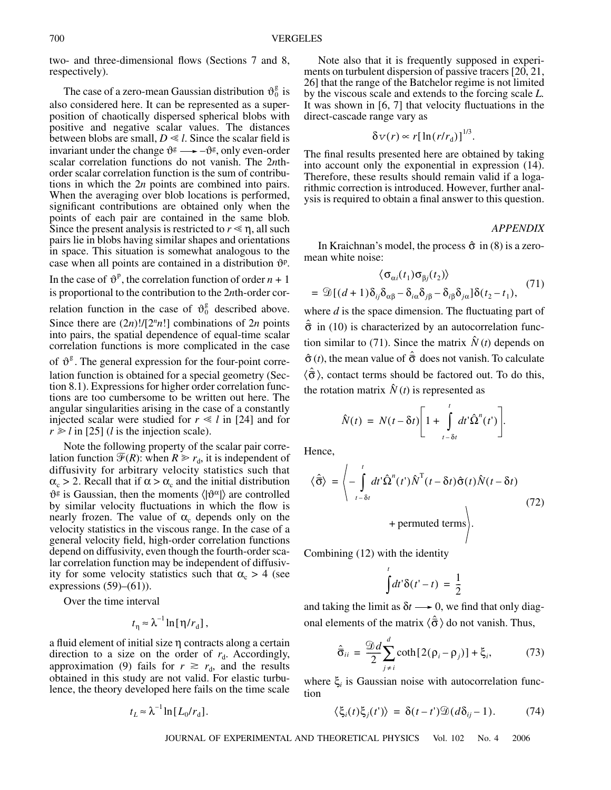two- and three-dimensional flows (Sections 7 and 8, respectively).

The case of a zero-mean Gaussian distribution  $\vartheta_0^g$  is also considered here. It can be represented as a superposition of chaotically dispersed spherical blobs with positive and negative scalar values. The distances between blobs are small,  $D \ll l$ . Since the scalar field is invariant under the change  $\vartheta$ <sup>g</sup>  $\longrightarrow -\vartheta$ <sup>g</sup>, only even-order scalar correlation functions do not vanish. The 2*n*thorder scalar correlation function is the sum of contributions in which the 2*n* points are combined into pairs. When the averaging over blob locations is performed, significant contributions are obtained only when the points of each pair are contained in the same blob. Since the present analysis is restricted to  $r \leq \eta$ , all such pairs lie in blobs having similar shapes and orientations in space. This situation is somewhat analogous to the case when all points are contained in a distribution  $\vartheta^p$ .

In the case of  $\vartheta^p$ , the correlation function of order  $n + 1$ is proportional to the contribution to the 2*n*th-order cor-

relation function in the case of  $\vartheta_0^g$  described above. Since there are  $(2n)!/[2<sup>n</sup>n!]$  combinations of  $2n$  points into pairs, the spatial dependence of equal-time scalar correlation functions is more complicated in the case of  $\vartheta^g$ . The general expression for the four-point corre-

lation function is obtained for a special geometry (Section 8.1). Expressions for higher order correlation functions are too cumbersome to be written out here. The angular singularities arising in the case of a constantly injected scalar were studied for  $r \leq l$  in [24] and for  $r \ge l$  in [25] (*l* is the injection scale).

Note the following property of the scalar pair correlation function  $\mathcal{F}(R)$ : when  $R \ge r_d$ , it is independent of diffusivity for arbitrary velocity statistics such that  $\alpha_c > 2$ . Recall that if  $\alpha > \alpha_c$  and the initial distribution  $\vartheta^g$  is Gaussian, then the moments  $\langle |\vartheta^\alpha| \rangle$  are controlled by similar velocity fluctuations in which the flow is nearly frozen. The value of  $\alpha_c$  depends only on the velocity statistics in the viscous range. In the case of a general velocity field, high-order correlation functions depend on diffusivity, even though the fourth-order scalar correlation function may be independent of diffusivity for some velocity statistics such that  $\alpha_c > 4$  (see expressions  $(59)–(61)$ ).

Over the time interval

$$
t_{\eta} \approx \lambda^{-1} \ln[\eta/r_{\rm d}],
$$

a fluid element of initial size η contracts along a certain direction to a size on the order of  $r_d$ . Accordingly, approximation (9) fails for  $r \ge r_d$ , and the results obtained in this study are not valid. For elastic turbulence, the theory developed here fails on the time scale

$$
t_L \approx \lambda^{-1} \ln[L_0/r_{\rm d}].
$$

Note also that it is frequently supposed in experiments on turbulent dispersion of passive tracers [20, 21, 26] that the range of the Batchelor regime is not limited by the viscous scale and extends to the forcing scale *L.* It was shown in [6, 7] that velocity fluctuations in the direct-cascade range vary as

$$
\delta v(r) \propto r[\ln(r/r_{\rm d})]^{1/3}.
$$

The final results presented here are obtained by taking into account only the exponential in expression (14). Therefore, these results should remain valid if a logarithmic correction is introduced. However, further analysis is required to obtain a final answer to this question.

### *APPENDIX*

In Kraichnan's model, the process  $\hat{\sigma}$  in (8) is a zeromean white noise:

$$
\langle \sigma_{\alpha i}(t_1) \sigma_{\beta j}(t_2) \rangle
$$
  
=  $\mathcal{D}[(d+1)\delta_{ij}\delta_{\alpha\beta} - \delta_{i\alpha}\delta_{j\beta} - \delta_{i\beta}\delta_{j\alpha}]\delta(t_2 - t_1),$  (71)

where *d* is the space dimension. The fluctuating part of  $\hat{\bar{\sigma}}$  in (10) is characterized by an autocorrelation function similar to (71). Since the matrix  $\hat{N}(t)$  depends on  $\hat{\sigma}(t)$ , the mean value of  $\hat{\bar{\sigma}}$  does not vanish. To calculate  $\langle \hat{\sigma} \rangle$ , contact terms should be factored out. To do this, the rotation matrix  $\hat{N}(t)$  is represented as

$$
\hat{N}(t) = N(t - \delta t) \left[ 1 + \int_{t - \delta t}^{t} dt' \hat{\Omega}^{n}(t') \right].
$$

Hence,

$$
\langle \hat{\overline{\sigma}} \rangle = \left\langle -\int_{t-\delta t}^{t} dt' \hat{\Omega}^{n}(t') \hat{N}^{T}(t-\delta t) \hat{\sigma}(t) \hat{N}(t-\delta t) + \text{permuted terms} \right\rangle.
$$
\n(72)

Combining (12) with the identity

$$
\int t d t' \delta(t'-t) = \frac{1}{2}
$$

and taking the limit as  $\delta t \rightarrow 0$ , we find that only diagonal elements of the matrix  $\langle \hat{\sigma} \rangle$  do not vanish. Thus,

$$
\hat{\overline{\sigma}}_{ii} = \frac{\mathcal{D}d}{2} \sum_{j \neq i}^{d} \coth[2(\rho_i - \rho_j)] + \xi_i, \tag{73}
$$

where ξ*<sup>i</sup>* is Gaussian noise with autocorrelation function

$$
\langle \xi_i(t)\xi_j(t')\rangle = \delta(t-t')\mathfrak{D}(d\delta_{ij}-1). \tag{74}
$$